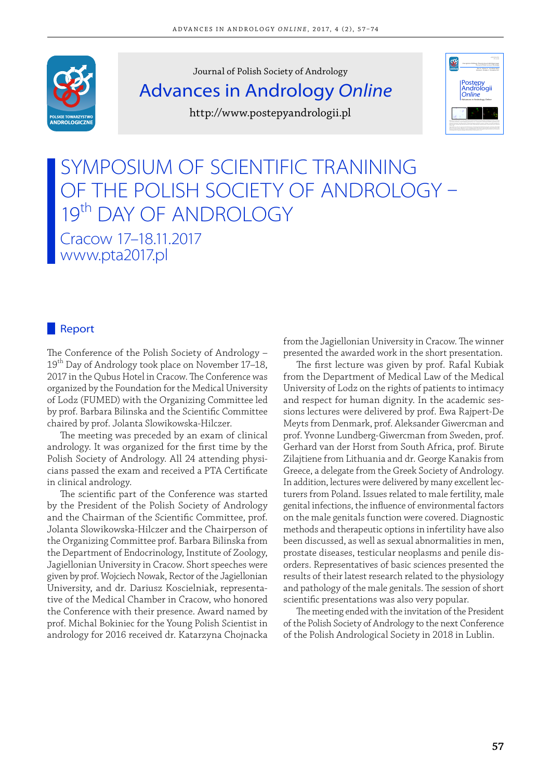

Journal of Polish Society of Andrology Advances in Andrology Online http://www.postepyandrologii.pl



# SYMPOSIUM OF SCIENTIFIC TRANINING OF THE POLISH SOCIETY OF ANDROLOGY 19th DAY OF ANDROLOGY Cracow 17–18.11.2017 www.pta2017.pl

# **Report**

The Conference of the Polish Society of Andrology -19<sup>th</sup> Day of Andrology took place on November 17–18, 2017 in the Oubus Hotel in Cracow. The Conference was organized by the Foundation for the Medical University of Lodz (FUMED) with the Organizing Committee led by prof. Barbara Bilinska and the Scientific Committee chaired by prof. Jolanta Slowikowska-Hilczer.

The meeting was preceded by an exam of clinical andrology. It was organized for the first time by the Polish Society of Andrology. All 24 attending physicians passed the exam and received a PTA Certificate in clinical andrology.

The scientific part of the Conference was started by the President of the Polish Society of Andrology and the Chairman of the Scientific Committee, prof. Jolanta Slowikowska-Hilczer and the Chairperson of the Organizing Committee prof. Barbara Bilinska from the Department of Endocrinology, Institute of Zoology, Jagiellonian University in Cracow. Short speeches were given by prof. Wojciech Nowak, Rector of the Jagiellonian University, and dr. Dariusz Koscielniak, representative of the Medical Chamber in Cracow, who honored the Conference with their presence. Award named by prof. Michal Bokiniec for the Young Polish Scientist in andrology for 2016 received dr. Katarzyna Chojnacka

from the Jagiellonian University in Cracow. The winner presented the awarded work in the short presentation.

The first lecture was given by prof. Rafal Kubiak from the Department of Medical Law of the Medical University of Lodz on the rights of patients to intimacy and respect for human dignity. In the academic sessions lectures were delivered by prof. Ewa Rajpert-De Meyts from Denmark, prof. Aleksander Giwercman and prof. Yvonne Lundberg-Giwercman from Sweden, prof. Gerhard van der Horst from South Africa, prof. Birute Zilajtiene from Lithuania and dr. George Kanakis from Greece, a delegate from the Greek Society of Andrology. In addition, lectures were delivered by many excellent lecturers from Poland. Issues related to male fertility, male genital infections, the influence of environmental factors on the male genitals function were covered. Diagnostic methods and therapeutic options in infertility have also been discussed, as well as sexual abnormalities in men, prostate diseases, testicular neoplasms and penile disorders. Representatives of basic sciences presented the results of their latest research related to the physiology and pathology of the male genitals. The session of short scientific presentations was also very popular.

The meeting ended with the invitation of the President of the Polish Society of Andrology to the next Conference of the Polish Andrological Society in 2018 in Lublin.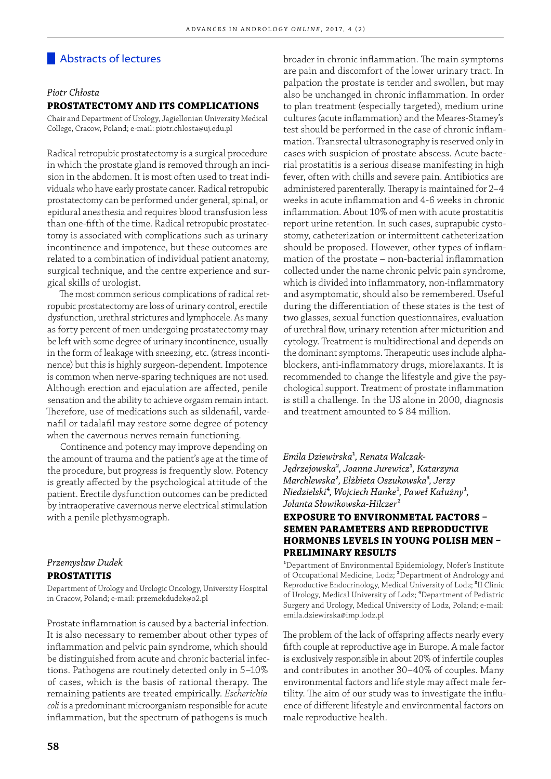# Abstracts of lectures

#### *Piotr Chłosta*

#### **PROSTATECTOMY AND ITS COMPLICATIONS**

Chair and Department of Urology, Jagiellonian University Medical College, Cracow, Poland; e-mail: piotr.chlosta@uj.edu.pl

Radical retropubic prostatectomy is a surgical procedure in which the prostate gland is removed through an incision in the abdomen. It is most often used to treat individuals who have early prostate cancer. Radical retropubic prostatectomy can be performed under general, spinal, or epidural anesthesia and requires blood transfusion less than one-fifth of the time. Radical retropubic prostatectomy is associated with complications such as urinary incontinence and impotence, but these outcomes are related to a combination of individual patient anatomy, surgical technique, and the centre experience and surgical skills of urologist.

The most common serious complications of radical retropubic prostatectomy are loss of urinary control, erectile dysfunction, urethral strictures and lymphocele. As many as forty percent of men undergoing prostatectomy may be left with some degree of urinary incontinence, usually in the form of leakage with sneezing, etc. (stress incontinence) but this is highly surgeon-dependent. Impotence is common when nerve-sparing techniques are not used. Although erection and ejaculation are affected, penile sensation and the ability to achieve orgasm remain intact. Therefore, use of medications such as sildenafil, vardenafil or tadalafil may restore some degree of potency when the cavernous nerves remain functioning.

Continence and potency may improve depending on the amount of trauma and the patient's age at the time of the procedure, but progress is frequently slow. Potency is greatly affected by the psychological attitude of the patient. Erectile dysfunction outcomes can be predicted by intraoperative cavernous nerve electrical stimulation with a penile plethysmograph.

#### *Przemysław Dudek*  **PROSTATITIS**

Department of Urology and Urologic Oncology, University Hospital in Cracow, Poland; e-mail: przemekdudek@o2.pl

Prostate inflammation is caused by a bacterial infection. It is also necessary to remember about other types of inflammation and pelvic pain syndrome, which should be distinguished from acute and chronic bacterial infections. Pathogens are routinely detected only in 5–10% of cases, which is the basis of rational therapy. The remaining patients are treated empirically. *Escherichia coli* is a predominant microorganism responsible for acute inflammation, but the spectrum of pathogens is much

are pain and discomfort of the lower urinary tract. In palpation the prostate is tender and swollen, but may also be unchanged in chronic inflammation. In order to plan treatment (especially targeted), medium urine cultures (acute inflammation) and the Meares-Stamey's test should be performed in the case of chronic inflammation. Transrectal ultrasonography is reserved only in cases with suspicion of prostate abscess. Acute bacterial prostatitis is a serious disease manifesting in high fever, often with chills and severe pain. Antibiotics are administered parenterally. Therapy is maintained for 2-4 weeks in acute inflammation and 4-6 weeks in chronic inflammation. About 10% of men with acute prostatitis report urine retention. In such cases, suprapubic cystostomy, catheterization or intermittent catheterization should be proposed. However, other types of inflammation of the prostate  $-$  non-bacterial inflammation collected under the name chronic pelvic pain syndrome, which is divided into inflammatory, non-inflammatory and asymptomatic, should also be remembered. Useful during the differentiation of these states is the test of two glasses, sexual function questionnaires, evaluation of urethral flow, urinary retention after micturition and cytology. Treatment is multidirectional and depends on the dominant symptoms. Therapeutic uses include alphablockers, anti-inflammatory drugs, miorelaxants. It is recommended to change the lifestyle and give the psychological support. Treatment of prostate inflammation is still a challenge. In the US alone in 2000, diagnosis and treatment amounted to \$ 84 million.

broader in chronic inflammation. The main symptoms

*Emila Dziewirska*¹*, Renata Walczak-Jędrzejowska*²*, Joanna Jurewicz*¹*, Katarzyna Marchlewska*²*, Elżbieta Oszukowska*³*, Jerzy Niedzielski*⁴*, Wojciech Hanke*¹*, Paweł Kałużny*¹*, Jolanta Słowikowska-Hilczer*²

# **EXPOSURE TO ENVIRONMETAL FACTORS -SEMEN PARAMETERS AND REPRODUCTIVE HORMONES LEVELS IN YOUNG POLISH MEN -PRELIMINARY RESULTS**

<sup>1</sup>Department of Environmental Epidemiology, Nofer's Institute of Occupational Medicine, Lodz; ²Department of Andrology and Reproductive Endocrinology, Medical University of Lodz; <sup>3</sup>II Clinic of Urology, Medical University of Lodz; <sup>4</sup>Department of Pediatric Surgery and Urology, Medical University of Lodz, Poland; e-mail: emila.dziewirska@imp.lodz.pl

The problem of the lack of offspring affects nearly every fifth couple at reproductive age in Europe. A male factor is exclusively responsible in about 20% of infertile couples and contributes in another 30–40% of couples. Many environmental factors and life style may affect male fertility. The aim of our study was to investigate the influence of different lifestyle and environmental factors on male reproductive health.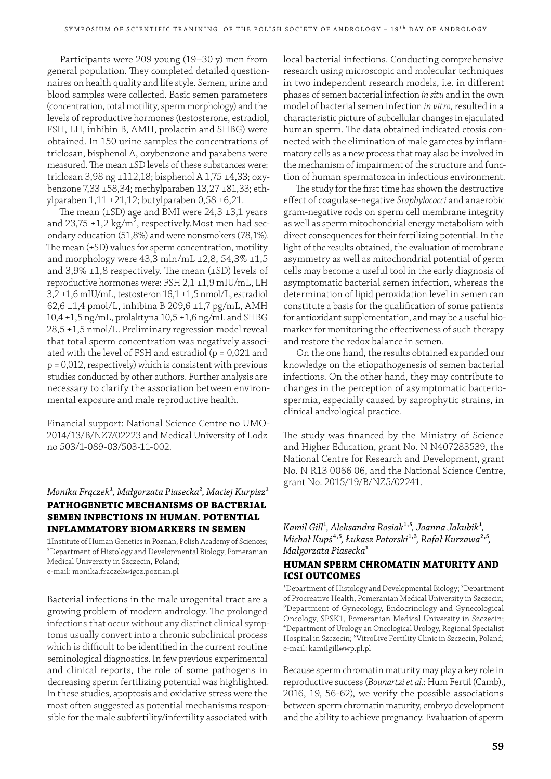Participants were 209 young (19–30 y) men from general population. They completed detailed questionnaires on health quality and life style. Semen, urine and blood samples were collected. Basic semen parameters (concentration, total motility, sperm morphology) and the levels of reproductive hormones (testosterone, estradiol, FSH, LH, inhibin B, AMH, prolactin and SHBG) were obtained. In 150 urine samples the concentrations of triclosan, bisphenol A, oxybenzone and parabens were measured. The mean ±SD levels of these substances were: triclosan 3,98 ng ±112,18; bisphenol A 1,75 ±4,33; oxybenzone 7,33 ±58,34; methylparaben 13,27 ±81,33; ethylparaben 1,11 ±21,12; butylparaben 0,58 ±6,21.

The mean  $(\pm SD)$  age and BMI were 24,3  $\pm 3,1$  years and 23,75 ±1,2 kg/m $^2$ , respectively.Most men had secondary education (51,8%) and were nonsmokers (78,1%). The mean  $(\pm SD)$  values for sperm concentration, motility and morphology were  $43.3$  mln/mL  $\pm 2.8$ ,  $54.3\%$   $\pm 1.5$ and  $3,9\% \pm 1,8$  respectively. The mean ( $\pm$ SD) levels of reproductive hormones were: FSH 2,1 ±1,9 mIU/mL, LH 3,2 ±1,6 mIU/mL, testosteron 16,1 ±1,5 nmol/L, estradiol 62,6 ±1,4 pmol/L, inhibina B 209,6 ±1,7 pg/mL, AMH 10,4 ±1,5 ng/mL, prolaktyna 10,5 ±1,6 ng/mL and SHBG 28,5 ±1,5 nmol/L. Preliminary regression model reveal that total sperm concentration was negatively associated with the level of FSH and estradiol ( $p = 0.021$  and p = 0,012, respectively) which is consistent with previous studies conducted by other authors. Further analysis are necessary to clarify the association between environmental exposure and male reproductive health.

Financial support: National Science Centre no UMO-2014/13/B/NZ7/02223 and Medical University of Lodz no 503/1-089-03/503-11-002.

# *Monika Frączek<sup>1</sup>*, Małgorzata Piasecka<sup>2</sup>, Maciej Kurpisz<sup>1</sup> **PATHOGENETIC MECHANISMS OF BACTERIAL SEMEN INFECTIONS IN HUMAN. POTENTIAL INFLAMMATORY BIOMARKERS IN SEMEN**

1Institute of Human Genetics in Poznan, Polish Academy of Sciences; ²Department of Histology and Developmental Biology, Pomeranian Medical University in Szczecin, Poland; e-mail: monika.fraczek@igcz.poznan.pl

Bacterial infections in the male urogenital tract are a growing problem of modern andrology. The prolonged infections that occur without any distinct clinical symptoms usually convert into a chronic subclinical process which is difficult to be identified in the current routine seminological diagnostics. In few previous experimental and clinical reports, the role of some pathogens in decreasing sperm fertilizing potential was highlighted. In these studies, apoptosis and oxidative stress were the most often suggested as potential mechanisms responsible for the male subfertility/infertility associated with

local bacterial infections. Conducting comprehensive research using microscopic and molecular techniques in two independent research models, i.e. in different phases of semen bacterial infection *in situ* and in the own model of bacterial semen infection *in vitro*, resulted in a characteristic picture of subcellular changes in ejaculated human sperm. The data obtained indicated etosis connected with the elimination of male gametes by inflammatory cells as a new process that may also be involved in the mechanism of impairment of the structure and function of human spermatozoa in infectious environment.

The study for the first time has shown the destructive eff ect of coagulase-negative *Staphylococci* and anaerobic gram-negative rods on sperm cell membrane integrity as well as sperm mitochondrial energy metabolism with direct consequences for their fertilizing potential. In the light of the results obtained, the evaluation of membrane asymmetry as well as mitochondrial potential of germ cells may become a useful tool in the early diagnosis of asymptomatic bacterial semen infection, whereas the determination of lipid peroxidation level in semen can constitute a basis for the qualification of some patients for antioxidant supplementation, and may be a useful biomarker for monitoring the effectiveness of such therapy and restore the redox balance in semen.

On the one hand, the results obtained expanded our knowledge on the etiopathogenesis of semen bacterial infections. On the other hand, they may contribute to changes in the perception of asymptomatic bacteriospermia, especially caused by saprophytic strains, in clinical andrological practice.

The study was financed by the Ministry of Science and Higher Education, grant No. N N407283539, the National Centre for Research and Development, grant No. N R13 0066 06, and the National Science Centre, grant No. 2015/19/B/NZ5/02241.

*Kamil Gill<sup>1</sup>*, Aleksandra Rosiak<sup>1,5</sup>, Joanna Jakubik<sup>1</sup>, *Michał Kupś<sup>4,5</sup>, Łukasz Patorski<sup>1,3</sup>, Rafał Kurzawa<sup>2,5</sup>, Małgorzata Piasecka*¹

# **HUMAN SPERM CHROMATIN MATURITY AND ICSI OUTCOMES**

<sup>1</sup>Department of Histology and Developmental Biology; <sup>2</sup>Department of Procreative Health, Pomeranian Medical University in Szczecin; ³Department of Gynecology, Endocrinology and Gynecological Oncology, SPSK1, Pomeranian Medical University in Szczecin; ⁴Department of Urology an Oncological Urology, Regional Specialist Hospital in Szczecin; <sup>5</sup>VitroLive Fertility Clinic in Szczecin, Poland; e-mail: kamilgill@wp.pl.pl

Because sperm chromatin maturity may play a key role in reproductive success (*Bounartzi et al*.: Hum Fertil (Camb)., 2016, 19, 56-62), we verify the possible associations between sperm chromatin maturity, embryo development and the ability to achieve pregnancy. Evaluation of sperm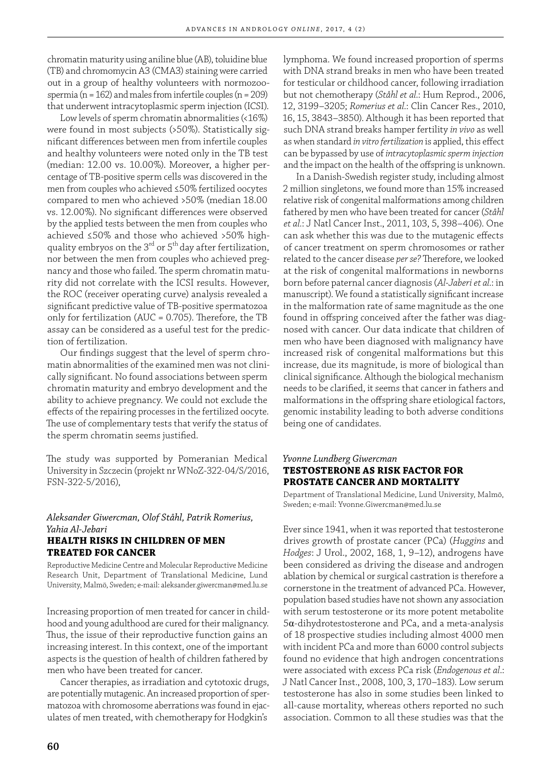chromatin maturity using aniline blue (AB), toluidine blue (TB) and chromomycin A3 (CMA3) staining were carried out in a group of healthy volunteers with normozoospermia (n = 162) and males from infertile couples (n = 209) that underwent intracytoplasmic sperm injection (ICSI).

Low levels of sperm chromatin abnormalities (<16%) were found in most subjects (>50%). Statistically significant differences between men from infertile couples and healthy volunteers were noted only in the TB test (median: 12.00 vs. 10.00%). Moreover, a higher percentage of TB-positive sperm cells was discovered in the men from couples who achieved ≤50% fertilized oocytes compared to men who achieved >50% (median 18.00 vs. 12.00%). No significant differences were observed by the applied tests between the men from couples who achieved ≤50% and those who achieved >50% highquality embryos on the  $3<sup>rd</sup>$  or  $5<sup>th</sup>$  day after fertilization, nor between the men from couples who achieved pregnancy and those who failed. The sperm chromatin maturity did not correlate with the ICSI results. However, the ROC (receiver operating curve) analysis revealed a significant predictive value of TB-positive spermatozoa only for fertilization (AUC =  $0.705$ ). Therefore, the TB assay can be considered as a useful test for the prediction of fertilization.

Our findings suggest that the level of sperm chromatin abnormalities of the examined men was not clinically significant. No found associations between sperm chromatin maturity and embryo development and the ability to achieve pregnancy. We could not exclude the effects of the repairing processes in the fertilized oocyte. The use of complementary tests that verify the status of the sperm chromatin seems justified.

The study was supported by Pomeranian Medical University in Szczecin (projekt nr WNoZ-322-04/S/2016, FSN-322-5/2016),

#### *Aleksander Giwercman, Olof Ståhl, Patrik Romerius, Yahia Al-Jebari* **HEALTH RISKS IN CHILDREN OF MEN TREATED FOR CANCER**

Reproductive Medicine Centre and Molecular Reproductive Medicine Research Unit, Department of Translational Medicine, Lund University, Malmö, Sweden; e-mail: aleksander.giwercman@med.lu.se

Increasing proportion of men treated for cancer in childhood and young adulthood are cured for their malignancy. Thus, the issue of their reproductive function gains an increasing interest. In this context, one of the important aspects is the question of health of children fathered by men who have been treated for cancer.

Cancer therapies, as irradiation and cytotoxic drugs, are potentially mutagenic. An increased proportion of spermatozoa with chromosome aberrations was found in ejaculates of men treated, with chemotherapy for Hodgkin's

lymphoma. We found increased proportion of sperms with DNA strand breaks in men who have been treated for testicular or childhood cancer, following irradiation but not chemotherapy (*Ståhl et al.*: Hum Reprod., 2006, 12, 3199–3205; *Romerius et al.*: Clin Cancer Res., 2010, 16, 15, 3843–3850). Although it has been reported that such DNA strand breaks hamper fertility *in vivo* as well as when standard *in vitro fertilization* is applied, this effect can be bypassed by use of *intracytoplasmic sperm injection* and the impact on the health of the offspring is unknown.

In a Danish-Swedish register study, including almost 2 million singletons, we found more than 15% increased relative risk of congenital malformations among children fathered by men who have been treated for cancer (*Ståhl et al.*: J Natl Cancer Inst., 2011, 103, 5, 398–406). One can ask whether this was due to the mutagenic effects of cancer treatment on sperm chromosomes or rather related to the cancer disease *per se*? Therefore, we looked at the risk of congenital malformations in newborns born before paternal cancer diagnosis (Al-Jaberi et al.: in manuscript). We found a statistically significant increase in the malformation rate of same magnitude as the one found in offspring conceived after the father was diagnosed with cancer. Our data indicate that children of men who have been diagnosed with malignancy have increased risk of congenital malformations but this increase, due its magnitude, is more of biological than clinical significance. Although the biological mechanism needs to be clarified, it seems that cancer in fathers and malformations in the offspring share etiological factors, genomic instability leading to both adverse conditions being one of candidates.

# *Yvonne Lundberg Giwercman*  **TESTOSTERONE AS RISK FACTOR FOR PROSTATE CANCER AND MORTALITY**

Department of Translational Medicine, Lund University, Malmö, Sweden; e-mail: Yvonne.Giwercman@med.lu.se

Ever since 1941, when it was reported that testosterone drives growth of prostate cancer (PCa) (*Huggins* and *Hodges*: J Urol., 2002, 168, 1, 9–12), androgens have been considered as driving the disease and androgen ablation by chemical or surgical castration is therefore a cornerstone in the treatment of advanced PCa. However, population based studies have not shown any association with serum testosterone or its more potent metabolite 5α-dihydrotestosterone and PCa, and a meta-analysis of 18 prospective studies including almost 4000 men with incident PCa and more than 6000 control subjects found no evidence that high androgen concentrations were associated with excess PCa risk (*Endogenous et al*.: J Natl Cancer Inst., 2008, 100, 3, 170–183). Low serum testosterone has also in some studies been linked to all-cause mortality, whereas others reported no such association. Common to all these studies was that the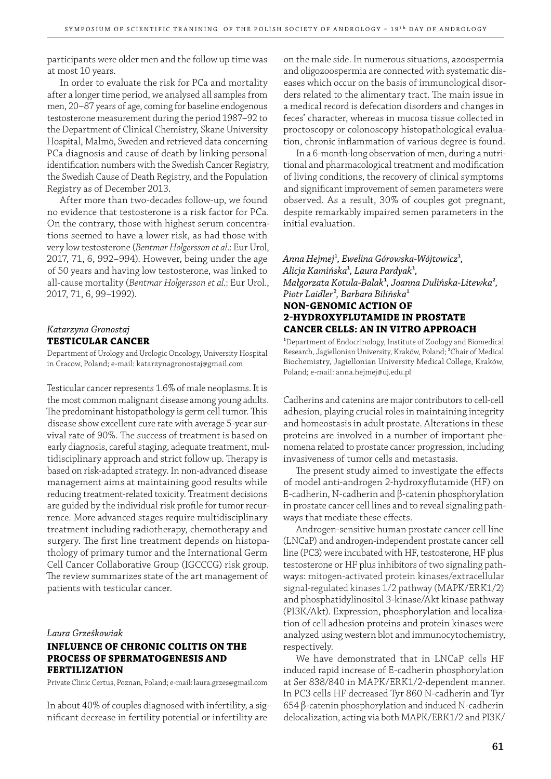participants were older men and the follow up time was at most 10 years.

In order to evaluate the risk for PCa and mortality after a longer time period, we analysed all samples from men, 20–87 years of age, coming for baseline endogenous testosterone measurement during the period 1987–92 to the Department of Clinical Chemistry, Skane University Hospital, Malmö, Sweden and retrieved data concerning PCa diagnosis and cause of death by linking personal identification numbers with the Swedish Cancer Registry, the Swedish Cause of Death Registry, and the Population Registry as of December 2013.

After more than two-decades follow-up, we found no evidence that testosterone is a risk factor for PCa. On the contrary, those with highest serum concentrations seemed to have a lower risk, as had those with very low testosterone (*Bentmar Holgersson et al*.: Eur Urol, 2017, 71, 6, 992–994). However, being under the age of 50 years and having low testosterone, was linked to all-cause mortality (*Bentmar Holgersson et al.*: Eur Urol., 2017, 71, 6, 99–1992).

#### *Katarzyna Gronostaj* **TESTICULAR CANCER**

Department of Urology and Urologic Oncology, University Hospital in Cracow, Poland; e-mail: katarzynagronostaj@gmail.com

Testicular cancer represents 1.6% of male neoplasms. It is the most common malignant disease among young adults. The predominant histopathology is germ cell tumor. This disease show excellent cure rate with average 5-year survival rate of 90%. The success of treatment is based on early diagnosis, careful staging, adequate treatment, multidisciplinary approach and strict follow up. Therapy is based on risk-adapted strategy. In non-advanced disease management aims at maintaining good results while reducing treatment-related toxicity. Treatment decisions are guided by the individual risk profile for tumor recurrence. More advanced stages require multidisciplinary treatment including radiotherapy, chemotherapy and surgery. The first line treatment depends on histopathology of primary tumor and the International Germ Cell Cancer Collaborative Group (IGCCCG) risk group. The review summarizes state of the art management of patients with testicular cancer.

#### *Laura Grześkowiak*

# **INFLUENCE OF CHRONIC COLITIS ON THE PROCESS OF SPERMATOGENESIS AND FERTILIZATION**

Private Clinic Certus, Poznan, Poland; e-mail: laura.grzes@gmail.com

In about 40% of couples diagnosed with infertility, a significant decrease in fertility potential or infertility are

on the male side. In numerous situations, azoospermia and oligozoospermia are connected with systematic diseases which occur on the basis of immunological disorders related to the alimentary tract. The main issue in a medical record is defecation disorders and changes in feces' character, whereas in mucosa tissue collected in proctoscopy or colonoscopy histopathological evaluation, chronic inflammation of various degree is found.

In a 6-month-long observation of men, during a nutritional and pharmacological treatment and modification of living conditions, the recovery of clinical symptoms and significant improvement of semen parameters were observed. As a result, 30% of couples got pregnant, despite remarkably impaired semen parameters in the initial evaluation.

*Anna Hejmej*¹*, Ewelina Górowska-Wójtowicz*¹*, Alicja Kamińska<sup>1</sup>*, Laura Pardyak<sup>1</sup>, *Małgorzata Kotula-Balak*¹*, Joanna Dulińska-Litewka*²*, Piotr Laidler*²*, Barbara Bilińska*¹ **NON-GENOMIC ACTION OF** 

# **2HYDROXYFLUTAMIDE IN PROSTATE CANCER CELLS: AN IN VITRO APPROACH**

<sup>1</sup>Department of Endocrinology, Institute of Zoology and Biomedical Research, Jagiellonian University, Kraków, Poland; ²Chair of Medical Biochemistry, Jagiellonian University Medical College, Kraków, Poland; e-mail: anna.hejmej@uj.edu.pl

Cadherins and catenins are major contributors to cell-cell adhesion, playing crucial roles in maintaining integrity and homeostasis in adult prostate. Alterations in these proteins are involved in a number of important phenomena related to prostate cancer progression, including invasiveness of tumor cells and metastasis.

The present study aimed to investigate the effects of model anti-androgen 2-hydroxyflutamide (HF) on E-cadherin, N-cadherin and β-catenin phosphorylation in prostate cancer cell lines and to reveal signaling pathways that mediate these effects.

Androgen-sensitive human prostate cancer cell line (LNCaP) and androgen-independent prostate cancer cell line (PC3) were incubated with HF, testosterone, HF plus testosterone or HF plus inhibitors of two signaling pathways: mitogen-activated protein kinases/extracellular signal-regulated kinases 1/2 pathway (MAPK/ERK1/2) and phosphatidylinositol 3-kinase/Akt kinase pathway (PI3K/Akt). Expression, phosphorylation and localization of cell adhesion proteins and protein kinases were analyzed using western blot and immunocytochemistry, respectively.

We have demonstrated that in LNCaP cells HF induced rapid increase of E-cadherin phosphorylation at Ser 838/840 in MAPK/ERK1/2-dependent manner. In PC3 cells HF decreased Tyr 860 N-cadherin and Tyr 654 β-catenin phosphorylation and induced N-cadherin delocalization, acting via both MAPK/ERK1/2 and PI3K/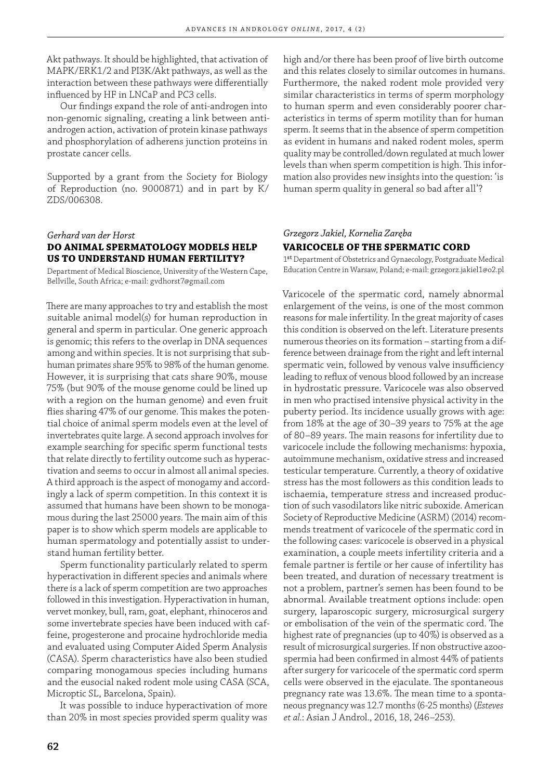Akt pathways. It should be highlighted, that activation of MAPK/ERK1/2 and PI3K/Akt pathways, as well as the interaction between these pathways were differentially influenced by HF in LNCaP and PC3 cells.

Our findings expand the role of anti-androgen into non-genomic signaling, creating a link between antiandrogen action, activation of protein kinase pathways and phosphorylation of adherens junction proteins in prostate cancer cells.

Supported by a grant from the Society for Biology of Reproduction (no. 9000871) and in part by K/ ZDS/006308.

# *Gerhard van der Horst* **DO ANIMAL SPERMATOLOGY MODELS HELP US TO UNDERSTAND HUMAN FERTILITY?**

Department of Medical Bioscience, University of the Western Cape, Bellville, South Africa; e-mail: gvdhorst7@gmail.com

There are many approaches to try and establish the most suitable animal model(s) for human reproduction in general and sperm in particular. One generic approach is genomic; this refers to the overlap in DNA sequences among and within species. It is not surprising that subhuman primates share 95% to 98% of the human genome. However, it is surprising that cats share 90%, mouse 75% (but 90% of the mouse genome could be lined up with a region on the human genome) and even fruit flies sharing 47% of our genome. This makes the potential choice of animal sperm models even at the level of invertebrates quite large. A second approach involves for example searching for specific sperm functional tests that relate directly to fertility outcome such as hyperactivation and seems to occur in almost all animal species. A third approach is the aspect of monogamy and accordingly a lack of sperm competition. In this context it is assumed that humans have been shown to be monogamous during the last 25000 years. The main aim of this paper is to show which sperm models are applicable to human spermatology and potentially assist to understand human fertility better.

Sperm functionality particularly related to sperm hyperactivation in different species and animals where there is a lack of sperm competition are two approaches followed in this investigation. Hyperactivation in human, vervet monkey, bull, ram, goat, elephant, rhinoceros and some invertebrate species have been induced with caffeine, progesterone and procaine hydrochloride media and evaluated using Computer Aided Sperm Analysis (CASA). Sperm characteristics have also been studied comparing monogamous species including humans and the eusocial naked rodent mole using CASA (SCA, Microptic SL, Barcelona, Spain).

It was possible to induce hyperactivation of more than 20% in most species provided sperm quality was high and/or there has been proof of live birth outcome and this relates closely to similar outcomes in humans. Furthermore, the naked rodent mole provided very similar characteristics in terms of sperm morphology to human sperm and even considerably poorer characteristics in terms of sperm motility than for human sperm. It seems that in the absence of sperm competition as evident in humans and naked rodent moles, sperm quality may be controlled/down regulated at much lower levels than when sperm competition is high. This information also provides new insights into the question: 'is human sperm quality in general so bad after all'?

# *Grzegorz Jakiel, Kornelia Zaręba* **VARICOCELE OF THE SPERMATIC CORD**

1st Department of Obstetrics and Gynaecology, Postgraduate Medical Education Centre in Warsaw, Poland; e-mail: grzegorz.jakiel1@o2.pl

Varicocele of the spermatic cord, namely abnormal enlargement of the veins, is one of the most common reasons for male infertility. In the great majority of cases this condition is observed on the left. Literature presents numerous theories on its formation – starting from a difference between drainage from the right and left internal spermatic vein, followed by venous valve insufficiency leading to reflux of venous blood followed by an increase in hydrostatic pressure. Varicocele was also observed in men who practised intensive physical activity in the puberty period. Its incidence usually grows with age: from 18% at the age of 30–39 years to 75% at the age of 80–89 years. The main reasons for infertility due to varicocele include the following mechanisms: hypoxia, autoimmune mechanism, oxidative stress and increased testicular temperature. Currently, a theory of oxidative stress has the most followers as this condition leads to ischaemia, temperature stress and increased production of such vasodilators like nitric suboxide. American Society of Reproductive Medicine (ASRM) (2014) recommends treatment of varicocele of the spermatic cord in the following cases: varicocele is observed in a physical examination, a couple meets infertility criteria and a female partner is fertile or her cause of infertility has been treated, and duration of necessary treatment is not a problem, partner's semen has been found to be abnormal. Available treatment options include: open surgery, laparoscopic surgery, microsurgical surgery or embolisation of the vein of the spermatic cord. The highest rate of pregnancies (up to 40%) is observed as a result of microsurgical surgeries. If non obstructive azoospermia had been confirmed in almost 44% of patients after surgery for varicocele of the spermatic cord sperm cells were observed in the ejaculate. The spontaneous pregnancy rate was 13.6%. The mean time to a spontaneous pregnancy was 12.7 months (6-25 months) (*Esteves et al.*: Asian J Androl*.*, 2016, 18, 246–253).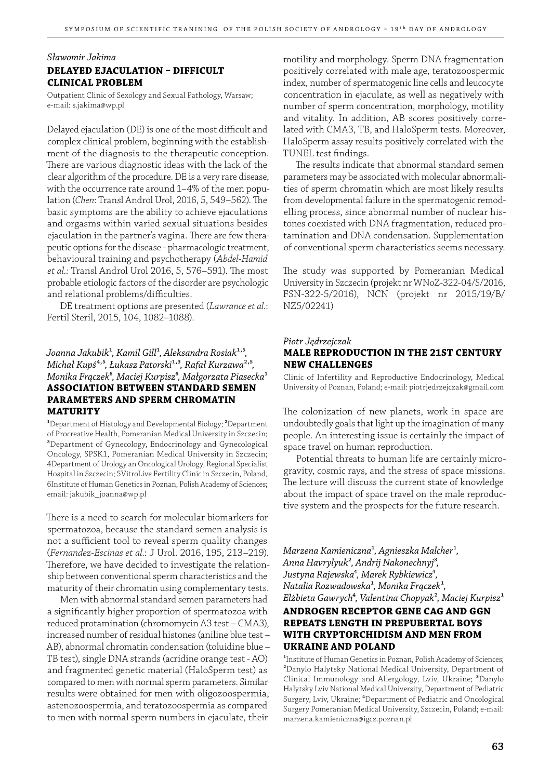# *Sławomir Jakima* **DELAYED EJACULATION - DIFFICULT CLINICAL PROBLEM**

Outpatient Clinic of Sexology and Sexual Pathology, Warsaw; e-mail: s.jakima@wp.pl

Delayed ejaculation (DE) is one of the most difficult and complex clinical problem, beginning with the establishment of the diagnosis to the therapeutic conception. There are various diagnostic ideas with the lack of the clear algorithm of the procedure. DE is a very rare disease, with the occurrence rate around 1–4% of the men population (*Chen*: Transl Androl Urol, 2016, 5, 549-562). The basic symptoms are the ability to achieve ejaculations and orgasms within varied sexual situations besides ejaculation in the partner's vagina. There are few therapeutic options for the disease - pharmacologic treatment, behavioural training and psychotherapy (*Abdel-Hamid et al.:* Transl Androl Urol 2016, 5, 576-591). The most probable etiologic factors of the disorder are psychologic and relational problems/difficulties.

DE treatment options are presented (*Lawrance et al.*: Fertil Steril, 2015, 104, 1082–1088).

# *Joanna Jakubik<sup>1</sup>*, *Kamil Gill<sup>1</sup>*, *Aleksandra Rosiak<sup>1,5</sup>*, *Michał Kupś*<sup>4,5</sup>, Łukasz Patorski<sup>1,3</sup>, Rafał Kurzawa<sup>2,5</sup>, *Monika Frączek*⁶*, Maciej Kurpisz*⁶*, Małgorzata Piasecka*¹ **ASSOCIATION BETWEEN STANDARD SEMEN PARAMETERS AND SPERM CHROMATIN MATURITY**

<sup>1</sup>Department of Histology and Developmental Biology; <sup>2</sup>Department of Procreative Health, Pomeranian Medical University in Szczecin; ³Department of Gynecology, Endocrinology and Gynecological Oncology, SPSK1, Pomeranian Medical University in Szczecin; 4Department of Urology an Oncological Urology, Regional Specialist Hospital in Szczecin; 5VitroLive Fertility Clinic in Szczecin, Poland, 6Institute of Human Genetics in Poznan, Polish Academy of Sciences; email: jakubik\_joanna@wp.pl

There is a need to search for molecular biomarkers for spermatozoa, because the standard semen analysis is not a sufficient tool to reveal sperm quality changes (*Fernandez-Escinas et al.*: J Urol. 2016, 195, 213–219). Therefore, we have decided to investigate the relationship between conventional sperm characteristics and the maturity of their chromatin using complementary tests.

Men with abnormal standard semen parameters had a significantly higher proportion of spermatozoa with reduced protamination (chromomycin A3 test – CMA3), increased number of residual histones (aniline blue test – AB), abnormal chromatin condensation (toluidine blue – TB test), single DNA strands (acridine orange test - AO) and fragmented genetic material (HaloSperm test) as compared to men with normal sperm parameters. Similar results were obtained for men with oligozoospermia, astenozoospermia, and teratozoospermia as compared to men with normal sperm numbers in ejaculate, their

motility and morphology. Sperm DNA fragmentation positively correlated with male age, teratozoospermic index, number of spermatogenic line cells and leucocyte concentration in ejaculate, as well as negatively with number of sperm concentration, morphology, motility and vitality. In addition, AB scores positively correlated with CMA3, TB, and HaloSperm tests. Moreover, HaloSperm assay results positively correlated with the TUNEL test findings.

The results indicate that abnormal standard semen parameters may be associated with molecular abnormalities of sperm chromatin which are most likely results from developmental failure in the spermatogenic remodelling process, since abnormal number of nuclear histones coexisted with DNA fragmentation, reduced protamination and DNA condensation. Supplementation of conventional sperm characteristics seems necessary.

The study was supported by Pomeranian Medical University in Szczecin (projekt nr WNoZ-322-04/S/2016, FSN-322-5/2016), NCN (projekt nr 2015/19/B/ NZ5/02241)

#### *Piotr Jędrzejczak* **MALE REPRODUCTION IN THE 21ST CENTURY NEW CHALLENGES**

Clinic of Infertility and Reproductive Endocrinology, Medical University of Poznan, Poland; e-mail: piotrjedrzejczak@gmail.com

The colonization of new planets, work in space are undoubtedly goals that light up the imagination of many people. An interesting issue is certainly the impact of space travel on human reproduction.

Potential threats to human life are certainly microgravity, cosmic rays, and the stress of space missions. The lecture will discuss the current state of knowledge about the impact of space travel on the male reproductive system and the prospects for the future research.

 $Marzena$  *Kamieniczna<sup>1</sup>*, Agnieszka Malcher<sup>1</sup>, *Anna Havrylyuk*²*, Andrij Nakonechnyj*³*, Justyna Rajewska*⁴*, Marek Rybkiewicz*⁴*, Natalia Rozwadowska*¹*, Monika Frączek*¹*, Elżbieta Gawrych*⁴*, Valentina Chopyak*²*, Maciej Kurpisz*¹

# **ANDROGEN RECEPTOR GENE CAG AND GGN REPEATS LENGTH IN PREPUBERTAL BOYS WITH CRYPTORCHIDISM AND MEN FROM UKRAINE AND POLAND**

<sup>1</sup>Institute of Human Genetics in Poznan, Polish Academy of Sciences; ²Danylo Halytsky National Medical University, Department of Clinical Immunology and Allergology, Lviv, Ukraine; <sup>3</sup>Danylo Halytsky Lviv National Medical University, Department of Pediatric Surgery, Lviv, Ukraine; <sup>4</sup>Department of Pediatric and Oncological Surgery Pomeranian Medical University, Szczecin, Poland; e-mail: marzena.kamieniczna@igcz.poznan.pl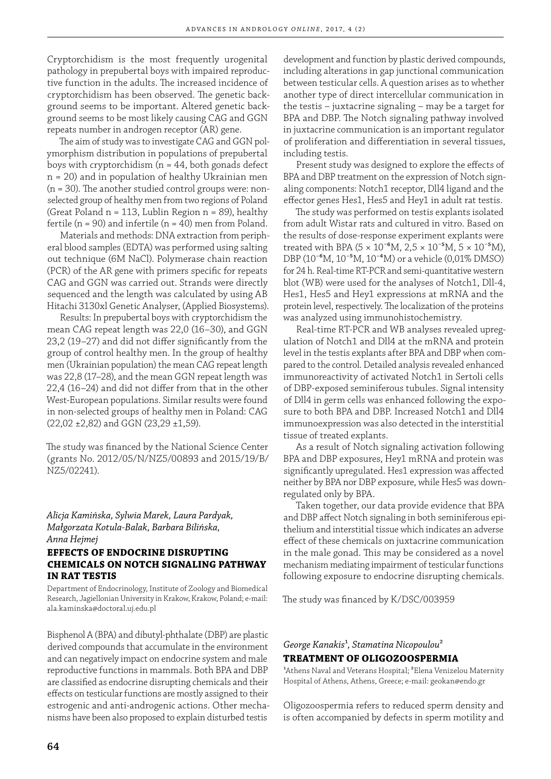Cryptorchidism is the most frequently urogenital pathology in prepubertal boys with impaired reproductive function in the adults. The increased incidence of cryptorchidism has been observed. The genetic background seems to be important. Altered genetic background seems to be most likely causing CAG and GGN repeats number in androgen receptor (AR) gene.

The aim of study was to investigate CAG and GGN polymorphism distribution in populations of prepubertal boys with cryptorchidism ( $n = 44$ , both gonads defect n = 20) and in population of healthy Ukrainian men  $(n = 30)$ . The another studied control groups were: nonselected group of healthy men from two regions of Poland (Great Poland n = 113, Lublin Region n = 89), healthy fertile ( $n = 90$ ) and infertile ( $n = 40$ ) men from Poland.

Materials and methods: DNA extraction from peripheral blood samples (EDTA) was performed using salting out technique (6M NaCl). Polymerase chain reaction (PCR) of the AR gene with primers specific for repeats CAG and GGN was carried out. Strands were directly sequenced and the length was calculated by using AB Hitachi 3130xl Genetic Analyser, (Applied Biosystems).

Results: In prepubertal boys with cryptorchidism the mean CAG repeat length was 22,0 (16–30), and GGN 23,2 (19-27) and did not differ significantly from the group of control healthy men. In the group of healthy men (Ukrainian population) the mean CAG repeat length was 22,8 (17–28), and the mean GGN repeat length was  $22,4$  (16–24) and did not differ from that in the other West-European populations. Similar results were found in non-selected groups of healthy men in Poland: CAG (22,02 ±2,82) and GGN (23,29 ±1,59).

The study was financed by the National Science Center (grants No. 2012/05/N/NZ5/00893 and 2015/19/B/ NZ5/02241).

#### *Alicja Kamińska, Sylwia Marek, Laura Pardyak, Małgorzata Kotula-Balak, Barbara Bilińska, Anna Hejmej*

# **EFFECTS OF ENDOCRINE DISRUPTING CHEMICALS ON NOTCH SIGNALING PATHWAY IN RAT TESTIS**

Department of Endocrinology, Institute of Zoology and Biomedical Research, Jagiellonian University in Krakow, Krakow, Poland; e-mail: ala.kaminska@doctoral.uj.edu.pl

Bisphenol A (BPA) and dibutyl-phthalate (DBP) are plastic derived compounds that accumulate in the environment and can negatively impact on endocrine system and male reproductive functions in mammals. Both BPA and DBP are classified as endocrine disrupting chemicals and their effects on testicular functions are mostly assigned to their estrogenic and anti-androgenic actions. Other mechanisms have been also proposed to explain disturbed testis

development and function by plastic derived compounds, including alterations in gap junctional communication between testicular cells. A question arises as to whether another type of direct intercellular communication in the testis – juxtacrine signaling – may be a target for BPA and DBP. The Notch signaling pathway involved in juxtacrine communication is an important regulator of proliferation and differentiation in several tissues, including testis.

Present study was designed to explore the effects of BPA and DBP treatment on the expression of Notch signaling components: Notch1 receptor, Dll4 ligand and the effector genes Hes1, Hes5 and Hey1 in adult rat testis.

The study was performed on testis explants isolated from adult Wistar rats and cultured in vitro. Based on the results of dose-response experiment explants were treated with BPA (5 × 10<sup>-6</sup>M, 2,5 × 10<sup>-5</sup>M, 5 × 10<sup>-5</sup>M), DBP (10<sup>-6</sup>M, 10<sup>-5</sup>M, 10<sup>-4</sup>M) or a vehicle (0,01% DMSO) for 24 h. Real-time RT-PCR and semi-quantitative western blot (WB) were used for the analyses of Notch1, Dll-4, Hes1, Hes5 and Hey1 expressions at mRNA and the protein level, respectively. The localization of the proteins was analyzed using immunohistochemistry.

Real-time RT-PCR and WB analyses revealed upregulation of Notch1 and Dll4 at the mRNA and protein level in the testis explants after BPA and DBP when compared to the control. Detailed analysis revealed enhanced immunoreactivity of activated Notch1 in Sertoli cells of DBP-exposed seminiferous tubules. Signal intensity of Dll4 in germ cells was enhanced following the exposure to both BPA and DBP. Increased Notch1 and Dll4 immunoexpression was also detected in the interstitial tissue of treated explants.

As a result of Notch signaling activation following BPA and DBP exposures, Hey1 mRNA and protein was significantly upregulated. Hes1 expression was affected neither by BPA nor DBP exposure, while Hes5 was downregulated only by BPA.

Taken together, our data provide evidence that BPA and DBP affect Notch signaling in both seminiferous epithelium and interstitial tissue which indicates an adverse effect of these chemicals on juxtacrine communication in the male gonad. This may be considered as a novel mechanism mediating impairment of testicular functions following exposure to endocrine disrupting chemicals.

The study was financed by K/DSC/003959

# *George Kanakis<sup>1</sup>*, *Stamatina Nicopoulou<sup>2</sup>* **TREATMENT OF OLIGOZOOSPERMIA**

<sup>1</sup>Athens Naval and Veterans Hospital; <sup>2</sup>Elena Venizelou Maternity Hospital of Athens, Athens, Greece; e-mail: geokan@endo.gr

Oligozoospermia refers to reduced sperm density and is often accompanied by defects in sperm motility and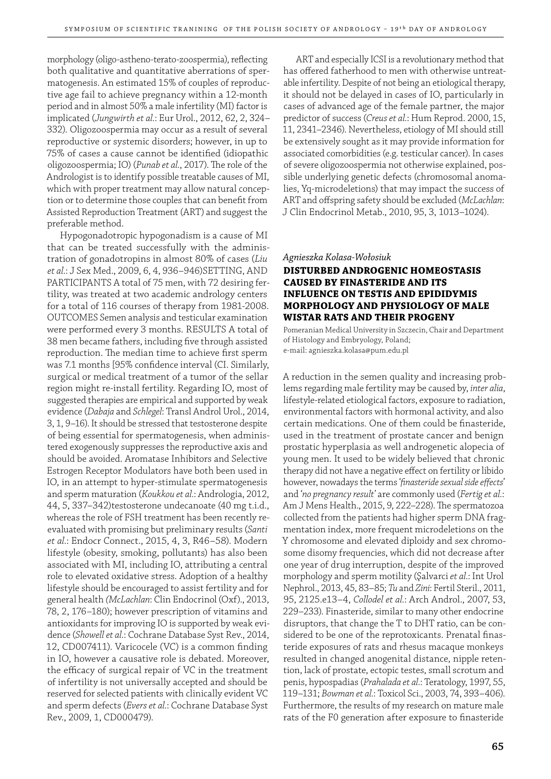morphology (oligo-astheno-terato-zoospermia), reflecting both qualitative and quantitative aberrations of spermatogenesis. An estimated 15% of couples of reproductive age fail to achieve pregnancy within a 12-month period and in almost 50% a male infertility (MI) factor is implicated (*Jungwirth et al.*: Eur Urol., 2012, 62, 2, 324– 332). Oligozoospermia may occur as a result of several reproductive or systemic disorders; however, in up to 75% of cases a cause cannot be identified (idiopathic oligozoospermia; IO) (*Punab et al.*, 2017). The role of the Andrologist is to identify possible treatable causes of MI, which with proper treatment may allow natural conception or to determine those couples that can benefit from Assisted Reproduction Treatment (ART) and suggest the preferable method.

Hypogonadotropic hypogonadism is a cause of MI that can be treated successfully with the administration of gonadotropins in almost 80% of cases (*Liu et al.*: J Sex Med., 2009, 6, 4, 936–946)SETTING, AND PARTICIPANTS A total of 75 men, with 72 desiring fertility, was treated at two academic andrology centers for a total of 116 courses of therapy from 1981-2008. OUTCOMES Semen analysis and testicular examination were performed every 3 months. RESULTS A total of 38 men became fathers, including five through assisted reproduction. The median time to achieve first sperm was 7.1 months [95% confidence interval (CI. Similarly, surgical or medical treatment of a tumor of the sellar region might re-install fertility. Regarding IO, most of suggested therapies are empirical and supported by weak evidence (*Dabaja* and *Schlegel*: Transl Androl Urol., 2014, 3, 1, 9–16). It should be stressed that testosterone despite of being essential for spermatogenesis, when administered exogenously suppresses the reproductive axis and should be avoided. Aromatase Inhibitors and Selective Estrogen Receptor Modulators have both been used in IO, in an attempt to hyper-stimulate spermatogenesis and sperm maturation (*Koukkou et al.*: Andrologia, 2012, 44, 5, 337–342)testosterone undecanoate (40 mg t.i.d., whereas the role of FSH treatment has been recently reevaluated with promising but preliminary results (*Santi et al.*: Endocr Connect., 2015, 4, 3, R46–58). Modern lifestyle (obesity, smoking, pollutants) has also been associated with MI, including IO, attributing a central role to elevated oxidative stress. Adoption of a healthy lifestyle should be encouraged to assist fertility and for general health *(McLachlan*: Clin Endocrinol (Oxf)., 2013, 78, 2, 176–180); however prescription of vitamins and antioxidants for improving IO is supported by weak evidence (*Showell et al.*: Cochrane Database Syst Rev., 2014, 12, CD007411). Varicocele (VC) is a common finding in IO, however a causative role is debated. Moreover, the efficacy of surgical repair of VC in the treatment of infertility is not universally accepted and should be reserved for selected patients with clinically evident VC and sperm defects (*Evers et al.*: Cochrane Database Syst Rev., 2009, 1, CD000479).

ART and especially ICSI is a revolutionary method that has offered fatherhood to men with otherwise untreatable infertility. Despite of not being an etiological therapy, it should not be delayed in cases of IO, particularly in cases of advanced age of the female partner, the major predictor of success (*Creus et al.*: Hum Reprod. 2000, 15, 11, 2341–2346). Nevertheless, etiology of MI should still be extensively sought as it may provide information for associated comorbidities (e.g. testicular cancer). In cases of severe oligozoospermia not otherwise explained, possible underlying genetic defects (chromosomal anomalies, Yq-microdeletions) that may impact the success of ART and off spring safety should be excluded (*McLachlan*: J Clin Endocrinol Metab., 2010, 95, 3, 1013–1024).

#### *Agnieszka Kolasa-Wołosiuk*

# **DISTURBED ANDROGENIC HOMEOSTASIS CAUSED BY FINASTERIDE AND ITS INFLUENCE ON TESTIS AND EPIDIDYMIS MORPHOLOGY AND PHYSIOLOGY OF MALE WISTAR RATS AND THEIR PROGENY**

Pomeranian Medical University in Szczecin, Chair and Department of Histology and Embryology, Poland; e-mail: agnieszka.kolasa@pum.edu.pl

A reduction in the semen quality and increasing problems regarding male fertility may be caused by, *inter alia*, lifestyle-related etiological factors, exposure to radiation, environmental factors with hormonal activity, and also certain medications. One of them could be finasteride, used in the treatment of prostate cancer and benign prostatic hyperplasia as well androgenetic alopecia of young men. It used to be widely believed that chronic therapy did not have a negative effect on fertility or libido however, nowadays the terms '*finasteride sexual side effects*' and '*no pregnancy result'* are commonly used (*Fertig et al.*: Am J Mens Health., 2015, 9, 222–228). The spermatozoa collected from the patients had higher sperm DNA fragmentation index, more frequent microdeletions on the Y chromosome and elevated diploidy and sex chromosome disomy frequencies, which did not decrease after one year of drug interruption, despite of the improved morphology and sperm motility (Şalvarci *et al.*: Int Urol Nephrol., 2013, 45, 83–85; *Tu* and *Zini*: Fertil Steril., 2011, 95, 2125.e13–4, *Collodel et al.*: Arch Androl., 2007, 53, 229–233). Finasteride, similar to many other endocrine disruptors, that change the T to DHT ratio, can be considered to be one of the reprotoxicants. Prenatal finasteride exposures of rats and rhesus macaque monkeys resulted in changed anogenital distance, nipple retention, lack of prostate, ectopic testes, small scrotum and penis, hypospadias (*Prahalada et al.*: Teratology, 1997, 55, 119–131; *Bowman et al.*: Toxicol Sci., 2003, 74, 393–406). Furthermore, the results of my research on mature male rats of the F0 generation after exposure to finasteride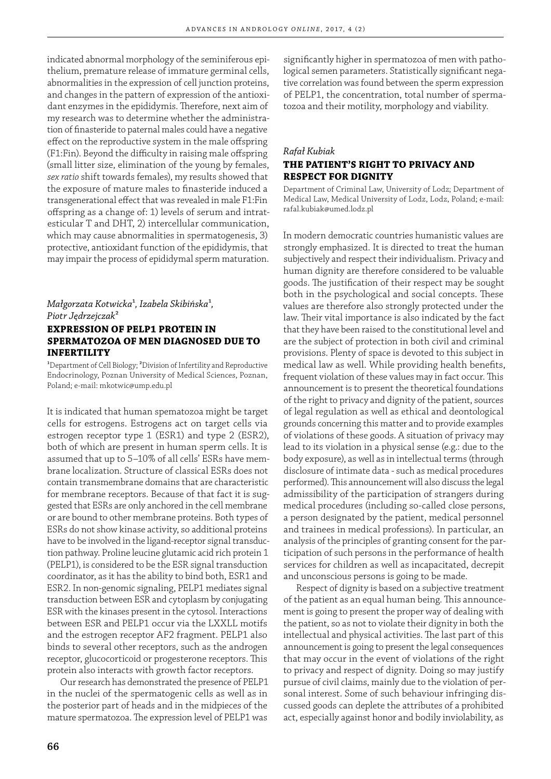indicated abnormal morphology of the seminiferous epithelium, premature release of immature germinal cells, abnormalities in the expression of cell junction proteins, and changes in the pattern of expression of the antioxidant enzymes in the epididymis. Therefore, next aim of my research was to determine whether the administration of finasteride to paternal males could have a negative effect on the reproductive system in the male offspring (F1:Fin). Beyond the difficulty in raising male offspring (small litter size, elimination of the young by females, *sex ratio* shift towards females), my results showed that the exposure of mature males to finasteride induced a transgenerational effect that was revealed in male F1:Fin offspring as a change of: 1) levels of serum and intratesticular T and DHT, 2) intercellular communication, which may cause abnormalities in spermatogenesis, 3) protective, antioxidant function of the epididymis, that may impair the process of epididymal sperm maturation.

# *Małgorzata Kotwicka*¹*, Izabela Skibińska*¹*, Piotr Jędrzejczak*² **EXPRESSION OF PELP1 PROTEIN IN SPERMATOZOA OF MEN DIAGNOSED DUE TO INFERTILITY**

<sup>1</sup>Department of Cell Biology; <sup>2</sup>Division of Infertility and Reproductive Endocrinology, Poznan University of Medical Sciences, Poznan, Poland; e-mail: mkotwic@ump.edu.pl

It is indicated that human spematozoa might be target cells for estrogens. Estrogens act on target cells via estrogen receptor type 1 (ESR1) and type 2 (ESR2), both of which are present in human sperm cells. It is assumed that up to 5–10% of all cells' ESRs have membrane localization. Structure of classical ESRs does not contain transmembrane domains that are characteristic for membrane receptors. Because of that fact it is suggested that ESRs are only anchored in the cell membrane or are bound to other membrane proteins. Both types of ESRs do not show kinase activity, so additional proteins have to be involved in the ligand-receptor signal transduction pathway. Proline leucine glutamic acid rich protein 1 (PELP1), is considered to be the ESR signal transduction coordinator, as it has the ability to bind both, ESR1 and ESR2. In non-genomic signaling, PELP1 mediates signal transduction between ESR and cytoplasm by conjugating ESR with the kinases present in the cytosol. Interactions between ESR and PELP1 occur via the LXXLL motifs and the estrogen receptor AF2 fragment. PELP1 also binds to several other receptors, such as the androgen receptor, glucocorticoid or progesterone receptors. This protein also interacts with growth factor receptors.

Our research has demonstrated the presence of PELP1 in the nuclei of the spermatogenic cells as well as in the posterior part of heads and in the midpieces of the mature spermatozoa. The expression level of PELP1 was

significantly higher in spermatozoa of men with pathological semen parameters. Statistically significant negative correlation was found between the sperm expression of PELP1, the concentration, total number of spermatozoa and their motility, morphology and viability.

# *Rafał Kubiak*  **THE PATIENT'S RIGHT TO PRIVACY AND RESPECT FOR DIGNITY**

Department of Criminal Law, University of Lodz; Department of Medical Law, Medical University of Lodz, Lodz, Poland; e-mail: rafal.kubiak@umed.lodz.pl

In modern democratic countries humanistic values are strongly emphasized. It is directed to treat the human subjectively and respect their individualism. Privacy and human dignity are therefore considered to be valuable goods. The justification of their respect may be sought both in the psychological and social concepts. These values are therefore also strongly protected under the law. Their vital importance is also indicated by the fact that they have been raised to the constitutional level and are the subject of protection in both civil and criminal provisions. Plenty of space is devoted to this subject in medical law as well. While providing health benefits, frequent violation of these values may in fact occur. This announcement is to present the theoretical foundations of the right to privacy and dignity of the patient, sources of legal regulation as well as ethical and deontological grounds concerning this matter and to provide examples of violations of these goods. A situation of privacy may lead to its violation in a physical sense (e.g.: due to the body exposure), as well as in intellectual terms (through disclosure of intimate data - such as medical procedures performed). This announcement will also discuss the legal admissibility of the participation of strangers during medical procedures (including so-called close persons, a person designated by the patient, medical personnel and trainees in medical professions). In particular, an analysis of the principles of granting consent for the participation of such persons in the performance of health services for children as well as incapacitated, decrepit and unconscious persons is going to be made.

Respect of dignity is based on a subjective treatment of the patient as an equal human being. This announcement is going to present the proper way of dealing with the patient, so as not to violate their dignity in both the intellectual and physical activities. The last part of this announcement is going to present the legal consequences that may occur in the event of violations of the right to privacy and respect of dignity. Doing so may justify pursue of civil claims, mainly due to the violation of personal interest. Some of such behaviour infringing discussed goods can deplete the attributes of a prohibited act, especially against honor and bodily inviolability, as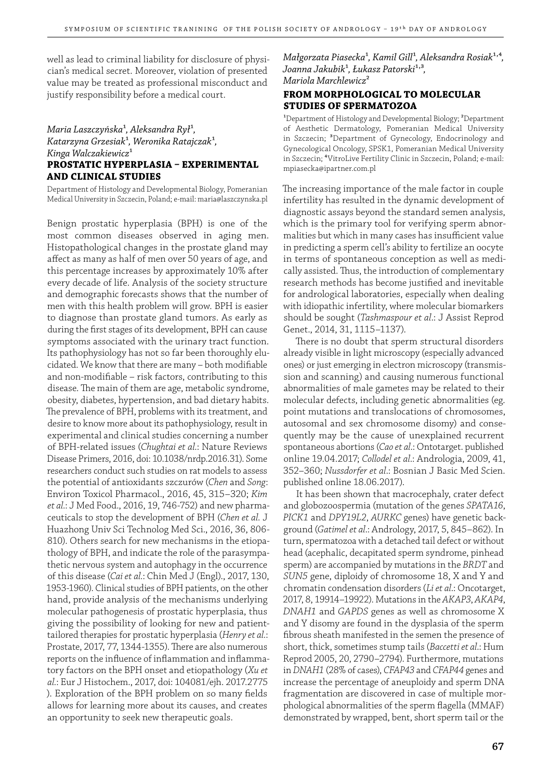well as lead to criminal liability for disclosure of physician's medical secret. Moreover, violation of presented value may be treated as professional misconduct and justify responsibility before a medical court.

# *Maria Laszczyńska*¹*, Aleksandra Rył*¹*, Katarzyna Grzesiak*¹*, Weronika Ratajczak*¹*,*  Kinga Walczakiewicz<sup>1</sup> **PROSTATIC HYPERPLASIA - EXPERIMENTAL AND CLINICAL STUDIES**

Department of Histology and Developmental Biology, Pomeranian Medical University in Szczecin, Poland; e-mail: maria@laszczynska.pl

Benign prostatic hyperplasia (BPH) is one of the most common diseases observed in aging men. Histopathological changes in the prostate gland may affect as many as half of men over 50 years of age, and this percentage increases by approximately 10% after every decade of life. Analysis of the society structure and demographic forecasts shows that the number of men with this health problem will grow. BPH is easier to diagnose than prostate gland tumors. As early as during the first stages of its development, BPH can cause symptoms associated with the urinary tract function. Its pathophysiology has not so far been thoroughly elucidated. We know that there are many - both modifiable and non-modifiable – risk factors, contributing to this disease. The main of them are age, metabolic syndrome, obesity, diabetes, hypertension, and bad dietary habits. The prevalence of BPH, problems with its treatment, and desire to know more about its pathophysiology, result in experimental and clinical studies concerning a number of BPH-related issues (*Chughtai et al.*: Nature Reviews Disease Primers, 2016, doi: 10.1038/nrdp.2016.31). Some researchers conduct such studies on rat models to assess the potential of antioxidants szczurów (*Chen* and *Song*: Environ Toxicol Pharmacol., 2016, 45, 315–320; *Kim et al.*: J Med Food., 2016, 19, 746-752) and new pharmaceuticals to stop the development of BPH (*Chen et al.* J Huazhong Univ Sci Technolog Med Sci., 2016, 36, 806- 810). Others search for new mechanisms in the etiopathology of BPH, and indicate the role of the parasympathetic nervous system and autophagy in the occurrence of this disease (*Cai et al.*: Chin Med J (Engl)., 2017, 130, 1953-1960). Clinical studies of BPH patients, on the other hand, provide analysis of the mechanisms underlying molecular pathogenesis of prostatic hyperplasia, thus giving the possibility of looking for new and patienttailored therapies for prostatic hyperplasia (*Henry et al.*: Prostate, 2017, 77, 1344-1355). There are also numerous reports on the influence of inflammation and inflammatory factors on the BPH onset and etiopathology (*Xu et al.*: Eur J Histochem., 2017, doi: 104081/ejh. 2017.2775 ). Exploration of the BPH problem on so many fields allows for learning more about its causes, and creates an opportunity to seek new therapeutic goals.

*Małgorzata Piasecka<sup>1</sup>*, *Kamil Gill<sup>1</sup>*, *Aleksandra Rosiak<sup>1,4</sup>*, *Joanna Jakubik<sup>1</sup>*, Łukasz Patorski<sup>1,3</sup>, *Mariola Marchlewicz*²

# **FROM MORPHOLOGICAL TO MOLECULAR STUDIES OF SPERMATOZOA**

<sup>1</sup>Department of Histology and Developmental Biology; <sup>2</sup>Department of Aesthetic Dermatology, Pomeranian Medical University in Szczecin; ³Department of Gynecology, Endocrinology and Gynecological Oncology, SPSK1, Pomeranian Medical University in Szczecin; <sup>4</sup>VitroLive Fertility Clinic in Szczecin, Poland; e-mail: mpiasecka@ipartner.com.pl

The increasing importance of the male factor in couple infertility has resulted in the dynamic development of diagnostic assays beyond the standard semen analysis, which is the primary tool for verifying sperm abnormalities but which in many cases has insufficient value in predicting a sperm cell's ability to fertilize an oocyte in terms of spontaneous conception as well as medically assisted. Thus, the introduction of complementary research methods has become justified and inevitable for andrological laboratories, especially when dealing with idiopathic infertility, where molecular biomarkers should be sought (*Tashmaspour et al*.: J Assist Reprod Genet., 2014, 31, 1115–1137).

There is no doubt that sperm structural disorders already visible in light microscopy (especially advanced ones) or just emerging in electron microscopy (transmission and scanning) and causing numerous functional abnormalities of male gametes may be related to their molecular defects, including genetic abnormalities (eg. point mutations and translocations of chromosomes, autosomal and sex chromosome disomy) and consequently may be the cause of unexplained recurrent spontaneous abortions (*Cao et al*.: Ontotarget. published online 19.04.2017; *Collodel et al*.: Andrologia, 2009, 41, 352–360; *Nussdorfer et al*.: Bosnian J Basic Med Scien. published online 18.06.2017).

It has been shown that macrocephaly, crater defect and globozoospermia (mutation of the genes *SPATA16*, *PICK1* and *DPY19L2*, *AURKC* genes) have genetic background (*Gatimel et al*.: Andrology, 2017, 5, 845–862). In turn, spermatozoa with a detached tail defect or without head (acephalic, decapitated sperm syndrome, pinhead sperm) are accompanied by mutations in the *BRDT* and *SUN5* gene, diploidy of chromosome 18, X and Y and chromatin condensation disorders (*Li et al*.: Oncotarget, 2017, 8, 19914–19922). Mutations in the *AKAP3*, *AKAP4*, *DNAH1* and *GAPDS* genes as well as chromosome X and Y disomy are found in the dysplasia of the sperm fibrous sheath manifested in the semen the presence of short, thick, sometimes stump tails (*Baccetti et al*.: Hum Reprod 2005, 20, 2790–2794). Furthermore, mutations in *DNAH1* (28% of cases), *CFAP43* and *CFAP44* genes and increase the percentage of aneuploidy and sperm DNA fragmentation are discovered in case of multiple morphological abnormalities of the sperm flagella (MMAF) demonstrated by wrapped, bent, short sperm tail or the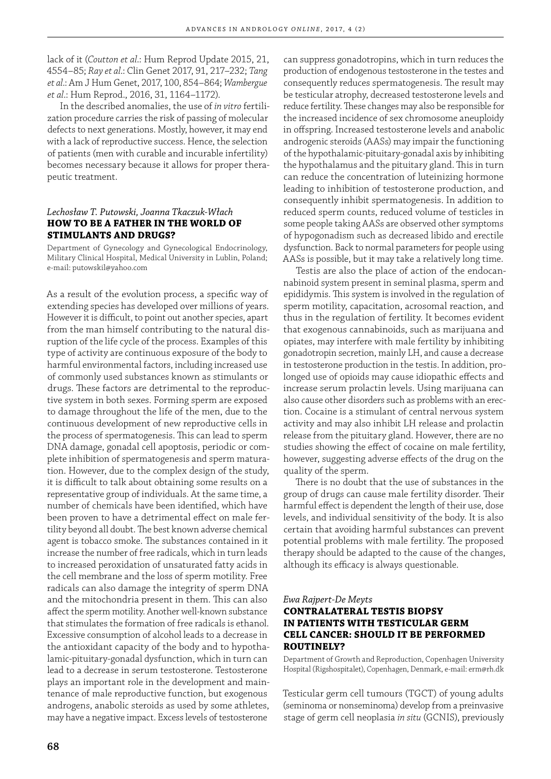lack of it (*Coutton et al*.: Hum Reprod Update 2015, 21, 4554–85; *Ray et al*.: Clin Genet 2017, 91, 217–232; *Tang et al*.: Am J Hum Genet, 2017, 100, 854–864; *Wambergue et al*.: Hum Reprod., 2016, 31, 1164–1172).

In the described anomalies, the use of *in vitro* fertilization procedure carries the risk of passing of molecular defects to next generations. Mostly, however, it may end with a lack of reproductive success. Hence, the selection of patients (men with curable and incurable infertility) becomes necessary because it allows for proper therapeutic treatment.

# *Lechosław T. Putowski, Joanna Tkaczuk-Włach* **HOW TO BE A FATHER IN THE WORLD OF STIMULANTS AND DRUGS?**

Department of Gynecology and Gynecological Endocrinology, Military Clinical Hospital, Medical University in Lublin, Poland; e-mail: putowskil@yahoo.com

As a result of the evolution process, a specific way of extending species has developed over millions of years. However it is difficult, to point out another species, apart from the man himself contributing to the natural disruption of the life cycle of the process. Examples of this type of activity are continuous exposure of the body to harmful environmental factors, including increased use of commonly used substances known as stimulants or drugs. These factors are detrimental to the reproductive system in both sexes. Forming sperm are exposed to damage throughout the life of the men, due to the continuous development of new reproductive cells in the process of spermatogenesis. This can lead to sperm DNA damage, gonadal cell apoptosis, periodic or complete inhibition of spermatogenesis and sperm maturation. However, due to the complex design of the study, it is difficult to talk about obtaining some results on a representative group of individuals. At the same time, a number of chemicals have been identified, which have been proven to have a detrimental effect on male fertility beyond all doubt. The best known adverse chemical agent is tobacco smoke. The substances contained in it increase the number of free radicals, which in turn leads to increased peroxidation of unsaturated fatty acids in the cell membrane and the loss of sperm motility. Free radicals can also damage the integrity of sperm DNA and the mitochondria present in them. This can also affect the sperm motility. Another well-known substance that stimulates the formation of free radicals is ethanol. Excessive consumption of alcohol leads to a decrease in the antioxidant capacity of the body and to hypothalamic-pituitary-gonadal dysfunction, which in turn can lead to a decrease in serum testosterone. Testosterone plays an important role in the development and maintenance of male reproductive function, but exogenous androgens, anabolic steroids as used by some athletes, may have a negative impact. Excess levels of testosterone

can suppress gonadotropins, which in turn reduces the production of endogenous testosterone in the testes and consequently reduces spermatogenesis. The result may be testicular atrophy, decreased testosterone levels and reduce fertility. These changes may also be responsible for the increased incidence of sex chromosome aneuploidy in offspring. Increased testosterone levels and anabolic androgenic steroids (AASs) may impair the functioning of the hypothalamic-pituitary-gonadal axis by inhibiting the hypothalamus and the pituitary gland. This in turn can reduce the concentration of luteinizing hormone leading to inhibition of testosterone production, and consequently inhibit spermatogenesis. In addition to reduced sperm counts, reduced volume of testicles in some people taking AASs are observed other symptoms of hypogonadism such as decreased libido and erectile dysfunction. Back to normal parameters for people using AASs is possible, but it may take a relatively long time.

Testis are also the place of action of the endocannabinoid system present in seminal plasma, sperm and epididymis. This system is involved in the regulation of sperm motility, capacitation, acrosomal reaction, and thus in the regulation of fertility. It becomes evident that exogenous cannabinoids, such as marijuana and opiates, may interfere with male fertility by inhibiting gonadotropin secretion, mainly LH, and cause a decrease in testosterone production in the testis. In addition, prolonged use of opioids may cause idiopathic effects and increase serum prolactin levels. Using marijuana can also cause other disorders such as problems with an erection. Cocaine is a stimulant of central nervous system activity and may also inhibit LH release and prolactin release from the pituitary gland. However, there are no studies showing the effect of cocaine on male fertility, however, suggesting adverse effects of the drug on the quality of the sperm.

There is no doubt that the use of substances in the group of drugs can cause male fertility disorder. Their harmful effect is dependent the length of their use, dose levels, and individual sensitivity of the body. It is also certain that avoiding harmful substances can prevent potential problems with male fertility. The proposed therapy should be adapted to the cause of the changes, although its efficacy is always questionable.

# *Ewa Rajpert-De Meyts* **CONTRALATERAL TESTIS BIOPSY IN PATIENTS WITH TESTICULAR GERM CELL CANCER: SHOULD IT BE PERFORMED ROUTINELY?**

Department of Growth and Reproduction, Copenhagen University Hospital (Rigshospitalet), Copenhagen, Denmark, e-mail: erm@rh.dk

Testicular germ cell tumours (TGCT) of young adults (seminoma or nonseminoma) develop from a preinvasive stage of germ cell neoplasia *in situ* (GCNIS), previously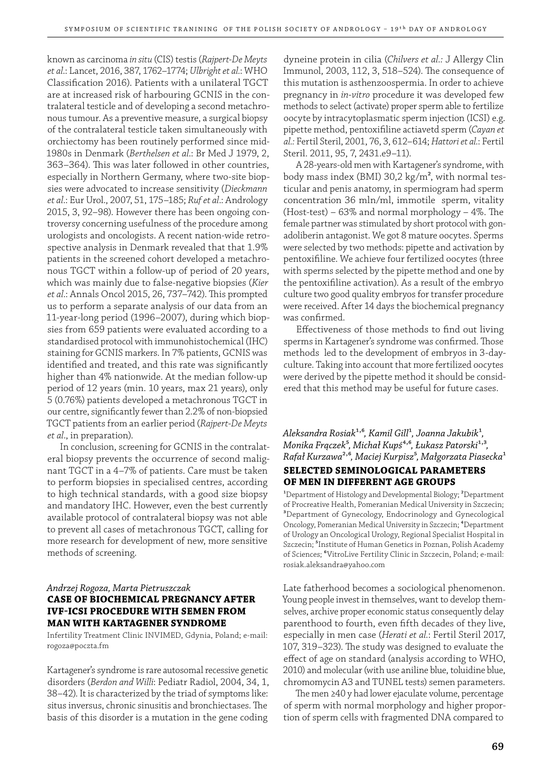known as carcinoma *in situ* (CIS) testis (*Rajpert-De Meyts et al*.: Lancet, 2016, 387, 1762–1774; *Ulbright et al.*: WHO Classification 2016). Patients with a unilateral TGCT are at increased risk of harbouring GCNIS in the contralateral testicle and of developing a second metachronous tumour. As a preventive measure, a surgical biopsy of the contralateral testicle taken simultaneously with orchiectomy has been routinely performed since mid-1980s in Denmark (*Berthelsen et al*.: Br Med J 1979, 2, 363–364). This was later followed in other countries, especially in Northern Germany, where two-site biopsies were advocated to increase sensitivity (*Dieckmann et al*.: Eur Urol., 2007, 51, 175–185; *Ruf et al*.: Andrology 2015, 3, 92–98). However there has been ongoing controversy concerning usefulness of the procedure among urologists and oncologists. A recent nation-wide retrospective analysis in Denmark revealed that that 1.9% patients in the screened cohort developed a metachronous TGCT within a follow-up of period of 20 years, which was mainly due to false-negative biopsies (*Kier et al.*: Annals Oncol 2015, 26, 737–742). This prompted us to perform a separate analysis of our data from an 11-year-long period (1996–2007), during which biopsies from 659 patients were evaluated according to a standardised protocol with immunohistochemical (IHC) staining for GCNIS markers. In 7% patients, GCNIS was identified and treated, and this rate was significantly higher than 4% nationwide. At the median follow-up period of 12 years (min. 10 years, max 21 years), only 5 (0.76%) patients developed a metachronous TGCT in our centre, significantly fewer than 2.2% of non-biopsied TGCT patients from an earlier period (*Rajpert-De Meyts et al*., in preparation).

In conclusion, screening for GCNIS in the contralateral biopsy prevents the occurrence of second malignant TGCT in a 4–7% of patients. Care must be taken to perform biopsies in specialised centres, according to high technical standards, with a good size biopsy and mandatory IHC. However, even the best currently available protocol of contralateral biopsy was not able to prevent all cases of metachronous TGCT, calling for more research for development of new, more sensitive methods of screening.

# *Andrzej Rogoza, Marta Pietruszczak* **CASE OF BIOCHEMICAL PREGNANCY AFTER IVF-ICSI PROCEDURE WITH SEMEN FROM MAN WITH KARTAGENER SYNDROME**

Infertility Treatment Clinic INVIMED, Gdynia, Poland; e-mail: rogoza@poczta.fm

Kartagener's syndrome is rare autosomal recessive genetic disorders (*Berdon and Willi*: Pediatr Radiol, 2004, 34, 1, 38–42). It is characterized by the triad of symptoms like: situs inversus, chronic sinusitis and bronchiectases. The basis of this disorder is a mutation in the gene coding

dyneine protein in cilia (*Chilvers et al.:* J Allergy Clin Immunol, 2003, 112, 3, 518-524). The consequence of this mutation is asthenzoospermia. In order to achieve pregnancy in *in-vitro* procedure it was developed few methods to select (activate) proper sperm able to fertilize oocyte by intracytoplasmatic sperm injection (ICSI) e.g. pipette method, pentoxifi line actiavetd sperm (*Cayan et al.:* Fertil Steril, 2001, 76, 3, 612–614; *Hattori et al.*: Fertil Steril. 2011, 95, 7, 2431.e9–11).

A 28-years-old men with Kartagener's syndrome, with body mass index (BMI) 30,2 kg/m², with normal testicular and penis anatomy, in spermiogram had sperm concentration 36 mln/ml, immotile sperm, vitality  $(Host-test) - 63\%$  and normal morphology - 4%. The female partner was stimulated by short protocol with gonadoliberin antagonist. We got 8 mature oocytes. Sperms were selected by two methods: pipette and activation by pentoxifiline. We achieve four fertilized oocytes (three with sperms selected by the pipette method and one by the pentoxifiline activation). As a result of the embryo culture two good quality embryos for transfer procedure were received. After 14 days the biochemical pregnancy was confirmed.

Effectiveness of those methods to find out living sperms in Kartagener's syndrome was confirmed. Those methods led to the development of embryos in 3-dayculture. Taking into account that more fertilized oocytes were derived by the pipette method it should be considered that this method may be useful for future cases.

*Aleksandra Rosiak*<sup>1,6</sup>, *Kamil Gill<sup>1</sup>*, *Joanna Jakubik<sup>1</sup>*, *Monika Frączek<sup>5</sup>*, *Michał Kupś*<sup>4,6</sup>, Łukasz Patorski<sup>1,3</sup>, *Rafał Kurzawa*²,⁶*, Maciej Kurpisz*⁵*, Małgorzata Piasecka*¹ **SELECTED SEMINOLOGICAL PARAMETERS** 

# **OF MEN IN DIFFERENT AGE GROUPS**

<sup>1</sup>Department of Histology and Developmental Biology; <sup>2</sup>Department of Procreative Health, Pomeranian Medical University in Szczecin; ³Department of Gynecology, Endocrinology and Gynecological Oncology, Pomeranian Medical University in Szczecin; <sup>4</sup>Department of Urology an Oncological Urology, Regional Specialist Hospital in Szczecin; <sup>5</sup>Institute of Human Genetics in Poznan, Polish Academy of Sciences; ⁶VitroLive Fertility Clinic in Szczecin, Poland; e-mail: rosiak.aleksandra@yahoo.com

Late fatherhood becomes a sociological phenomenon. Young people invest in themselves, want to develop themselves, archive proper economic status consequently delay parenthood to fourth, even fifth decades of they live, especially in men case (*Herati et al.*: Fertil Steril 2017, 107, 319-323). The study was designed to evaluate the effect of age on standard (analysis according to WHO, 2010) and molecular (with use aniline blue, toluidine blue, chromomycin A3 and TUNEL tests) semen parameters.

The men ≥40 y had lower ejaculate volume, percentage of sperm with normal morphology and higher proportion of sperm cells with fragmented DNA compared to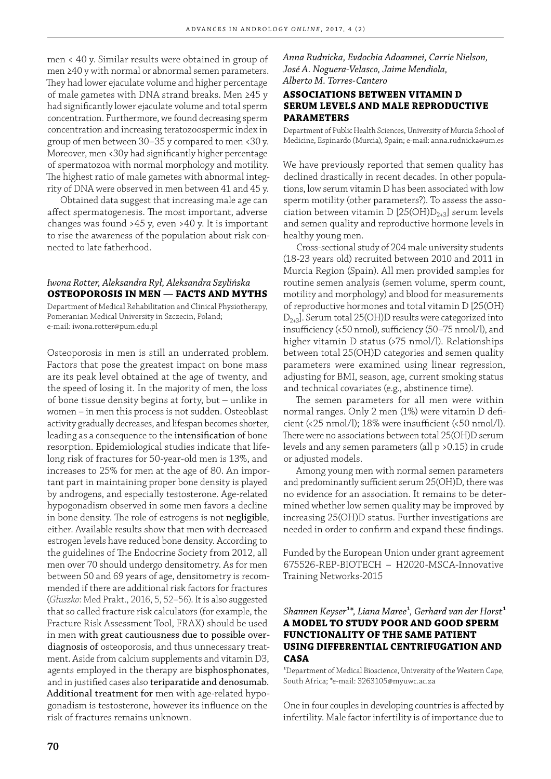men < 40 y. Similar results were obtained in group of men ≥40 y with normal or abnormal semen parameters. They had lower ejaculate volume and higher percentage of male gametes with DNA strand breaks. Men ≥45 y had significantly lower ejaculate volume and total sperm concentration. Furthermore, we found decreasing sperm concentration and increasing teratozoospermic index in group of men between 30–35 y compared to men <30 y. Moreover, men <30y had significantly higher percentage of spermatozoa with normal morphology and motility. The highest ratio of male gametes with abnormal integrity of DNA were observed in men between 41 and 45 y.

Obtained data suggest that increasing male age can affect spermatogenesis. The most important, adverse changes was found >45 y, even >40 y. It is important to rise the awareness of the population about risk connected to late fatherhood.

# *Iwona Rotter, Aleksandra Rył, Aleksandra Szylińska* **OSTEOPOROSIS IN MEN ― FACTS AND MYTHS**

Department of Medical Rehabilitation and Clinical Physiotherapy, Pomeranian Medical University in Szczecin, Poland; e-mail: iwona.rotter@pum.edu.pl

Osteoporosis in men is still an underrated problem. Factors that pose the greatest impact on bone mass are its peak level obtained at the age of twenty, and the speed of losing it. In the majority of men, the loss of bone tissue density begins at forty, but – unlike in women – in men this process is not sudden. Osteoblast activity gradually decreases, and lifespan becomes shorter, leading as a consequence to the intensification of bone resorption. Epidemiological studies indicate that lifelong risk of fractures for 50-year-old men is 13%, and increases to 25% for men at the age of 80. An important part in maintaining proper bone density is played by androgens, and especially testosterone. Age-related hypogonadism observed in some men favors a decline in bone density. The role of estrogens is not negligible, either. Available results show that men with decreased estrogen levels have reduced bone density. According to the guidelines of The Endocrine Society from 2012, all men over 70 should undergo densitometry. As for men between 50 and 69 years of age, densitometry is recommended if there are additional risk factors for fractures (*Głuszko*: Med Prakt., 2016, 5, 52–56). It is also suggested that so called fracture risk calculators (for example, the Fracture Risk Assessment Tool, FRAX) should be used in men with great cautiousness due to possible overdiagnosis of osteoporosis, and thus unnecessary treatment. Aside from calcium supplements and vitamin D3, agents employed in the therapy are bisphosphonates, and in justified cases also teriparatide and denosumab. Additional treatment for men with age-related hypogonadism is testosterone, however its influence on the risk of fractures remains unknown.

*Anna Rudnicka, Evdochia Adoamnei, Carrie Nielson, José A. Noguera-Velasco, Jaime Mendiola, Alberto M. Torres-Cantero*

# **ASSOCIATIONS BETWEEN VITAMIN D SERUM LEVELS AND MALE REPRODUCTIVE PARAMETERS**

Department of Public Health Sciences, University of Murcia School of Medicine, Espinardo (Murcia), Spain; e-mail: anna.rudnicka@um.es

We have previously reported that semen quality has declined drastically in recent decades. In other populations, low serum vitamin D has been associated with low sperm motility (other parameters?). To assess the association between vitamin D [25(OH) $D_{2+3}$ ] serum levels and semen quality and reproductive hormone levels in healthy young men.

Cross-sectional study of 204 male university students (18-23 years old) recruited between 2010 and 2011 in Murcia Region (Spain). All men provided samples for routine semen analysis (semen volume, sperm count, motility and morphology) and blood for measurements of reproductive hormones and total vitamin D [25(OH)  $D_{2+3}$ ]. Serum total 25(OH)D results were categorized into insufficiency (<50 nmol), sufficiency (50-75 nmol/l), and higher vitamin D status (>75 nmol/l). Relationships between total 25(OH)D categories and semen quality parameters were examined using linear regression, adjusting for BMI, season, age, current smoking status and technical covariates (e.g., abstinence time).

The semen parameters for all men were within normal ranges. Only 2 men (1%) were vitamin D deficient (<25 nmol/l);  $18\%$  were insufficient (<50 nmol/l). There were no associations between total 25(OH)D serum levels and any semen parameters (all p >0.15) in crude or adjusted models.

Among young men with normal semen parameters and predominantly sufficient serum 25(OH)D, there was no evidence for an association. It remains to be determined whether low semen quality may be improved by increasing 25(OH)D status. Further investigations are needed in order to confirm and expand these findings.

Funded by the European Union under grant agreement 675526-REP-BIOTECH – H2020-MSCA-Innovative Training Networks-2015

# $Shannen Keyser<sup>1*</sup>, Liana Maree<sup>1</sup>, Gerhard van der Horst<sup>1</sup>$ **A MODEL TO STUDY POOR AND GOOD SPERM FUNCTIONALITY OF THE SAME PATIENT USING DIFFERENTIAL CENTRIFUGATION AND CASA**

<sup>1</sup>Department of Medical Bioscience, University of the Western Cape, South Africa; \*e-mail: 3263105@myuwc.ac.za

One in four couples in developing countries is affected by infertility. Male factor infertility is of importance due to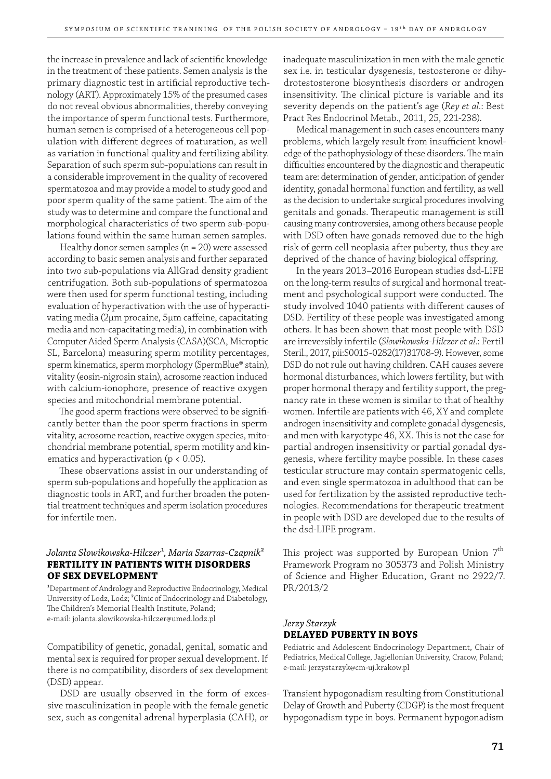the increase in prevalence and lack of scientific knowledge in the treatment of these patients. Semen analysis is the primary diagnostic test in artificial reproductive technology (ART). Approximately 15% of the presumed cases do not reveal obvious abnormalities, thereby conveying the importance of sperm functional tests. Furthermore, human semen is comprised of a heterogeneous cell population with different degrees of maturation, as well as variation in functional quality and fertilizing ability. Separation of such sperm sub-populations can result in a considerable improvement in the quality of recovered spermatozoa and may provide a model to study good and poor sperm quality of the same patient. The aim of the study was to determine and compare the functional and morphological characteristics of two sperm sub-populations found within the same human semen samples.

Healthy donor semen samples (n = 20) were assessed according to basic semen analysis and further separated into two sub-populations via AllGrad density gradient centrifugation. Both sub-populations of spermatozoa were then used for sperm functional testing, including evaluation of hyperactivation with the use of hyperactivating media (2μm procaine, 5μm caffeine, capacitating media and non-capacitating media), in combination with Computer Aided Sperm Analysis (CASA)(SCA, Microptic SL, Barcelona) measuring sperm motility percentages, sperm kinematics, sperm morphology (SpermBlue® stain), vitality (eosin-nigrosin stain), acrosome reaction induced with calcium-ionophore, presence of reactive oxygen species and mitochondrial membrane potential.

The good sperm fractions were observed to be significantly better than the poor sperm fractions in sperm vitality, acrosome reaction, reactive oxygen species, mitochondrial membrane potential, sperm motility and kinematics and hyperactivation (p < 0.05).

These observations assist in our understanding of sperm sub-populations and hopefully the application as diagnostic tools in ART, and further broaden the potential treatment techniques and sperm isolation procedures for infertile men.

# *Jolanta Słowikowska-Hilczer*¹*, Maria Szarras-Czapnik*² **FERTILITY IN PATIENTS WITH DISORDERS OF SEX DEVELOPMENT**

<sup>1</sup>Department of Andrology and Reproductive Endocrinology, Medical University of Lodz, Lodz; ²Clinic of Endocrinology and Diabetology, The Children's Memorial Health Institute, Poland; e-mail: jolanta.slowikowska-hilczer@umed.lodz.pl

Compatibility of genetic, gonadal, genital, somatic and mental sex is required for proper sexual development. If there is no compatibility, disorders of sex development (DSD) appear.

DSD are usually observed in the form of excessive masculinization in people with the female genetic sex, such as congenital adrenal hyperplasia (CAH), or

inadequate masculinization in men with the male genetic sex i.e. in testicular dysgenesis, testosterone or dihydrotestosterone biosynthesis disorders or androgen insensitivity. The clinical picture is variable and its severity depends on the patient's age (*Rey et al.*: Best Pract Res Endocrinol Metab., 2011, 25, 221-238).

Medical management in such cases encounters many problems, which largely result from insufficient knowledge of the pathophysiology of these disorders. The main difficulties encountered by the diagnostic and therapeutic team are: determination of gender, anticipation of gender identity, gonadal hormonal function and fertility, as well as the decision to undertake surgical procedures involving genitals and gonads. Therapeutic management is still causing many controversies, among others because people with DSD often have gonads removed due to the high risk of germ cell neoplasia after puberty, thus they are deprived of the chance of having biological offspring.

In the years 2013–2016 European studies dsd-LIFE on the long-term results of surgical and hormonal treatment and psychological support were conducted. The study involved 1040 patients with different causes of DSD. Fertility of these people was investigated among others. It has been shown that most people with DSD are irreversibly infertile (*Slowikowska-Hilczer et al.*: Fertil Steril., 2017, pii:S0015-0282(17)31708-9). However, some DSD do not rule out having children. CAH causes severe hormonal disturbances, which lowers fertility, but with proper hormonal therapy and fertility support, the pregnancy rate in these women is similar to that of healthy women. Infertile are patients with 46, XY and complete androgen insensitivity and complete gonadal dysgenesis, and men with karyotype 46, XX. This is not the case for partial androgen insensitivity or partial gonadal dysgenesis, where fertility maybe possible. In these cases testicular structure may contain spermatogenic cells, and even single spermatozoa in adulthood that can be used for fertilization by the assisted reproductive technologies. Recommendations for therapeutic treatment in people with DSD are developed due to the results of the dsd-LIFE program.

This project was supported by European Union  $7<sup>th</sup>$ Framework Program no 305373 and Polish Ministry of Science and Higher Education, Grant no 2922/7. PR/2013/2

# *Jerzy Starzyk* **DELAYED PUBERTY IN BOYS**

Pediatric and Adolescent Endocrinology Department, Chair of Pediatrics, Medical College, Jagiellonian University, Cracow, Poland; e-mail: jerzystarzyk@cm-uj.krakow.pl

Transient hypogonadism resulting from Constitutional Delay of Growth and Puberty (CDGP) is the most frequent hypogonadism type in boys. Permanent hypogonadism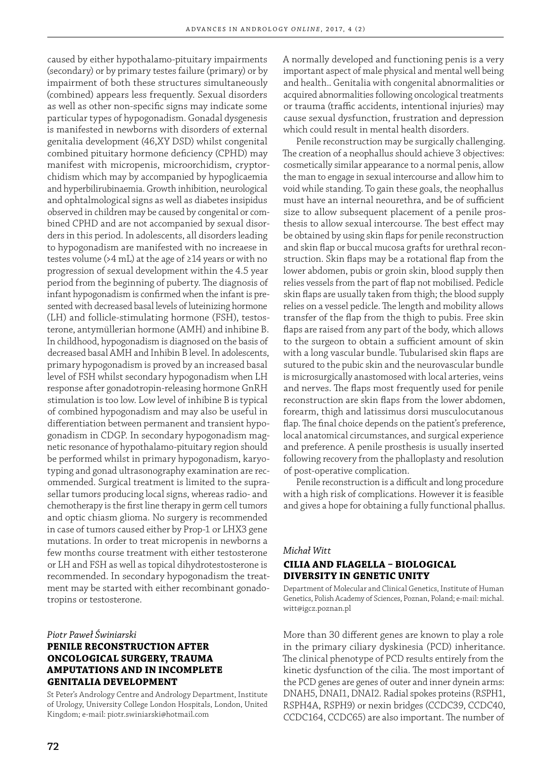caused by either hypothalamo-pituitary impairments (secondary) or by primary testes failure (primary) or by impairment of both these structures simultaneously (combined) appears less frequently. Sexual disorders as well as other non-specific signs may indicate some particular types of hypogonadism. Gonadal dysgenesis is manifested in newborns with disorders of external genitalia development (46,XY DSD) whilst congenital combined pituitary hormone deficiency (CPHD) may manifest with micropenis, microorchidism, cryptorchidism which may by accompanied by hypoglicaemia and hyperbilirubinaemia. Growth inhibition, neurological and ophtalmological signs as well as diabetes insipidus observed in children may be caused by congenital or combined CPHD and are not accompanied by sexual disorders in this period. In adolescents, all disorders leading to hypogonadism are manifested with no increaese in testes volume (>4 mL) at the age of ≥14 years or with no progression of sexual development within the 4.5 year period from the beginning of puberty. The diagnosis of infant hypogonadism is confirmed when the infant is presented with decreased basal levels of luteinizing hormone (LH) and follicle-stimulating hormone (FSH), testosterone, antymüllerian hormone (AMH) and inhibine B. In childhood, hypogonadism is diagnosed on the basis of decreased basal AMH and Inhibin B level. In adolescents, primary hypogonadism is proved by an increased basal level of FSH whilst secondary hypogonadism when LH response after gonadotropin-releasing hormone GnRH stimulation is too low. Low level of inhibine B is typical of combined hypogonadism and may also be useful in differentiation between permanent and transient hypogonadism in CDGP. In secondary hypogonadism magnetic resonance of hypothalamo-pituitary region should be performed whilst in primary hypogonadism, karyotyping and gonad ultrasonography examination are recommended. Surgical treatment is limited to the suprasellar tumors producing local signs, whereas radio- and chemotherapy is the first line therapy in germ cell tumors and optic chiasm glioma. No surgery is recommended in case of tumors caused either by Prop-1 or LHX3 gene mutations. In order to treat micropenis in newborns a few months course treatment with either testosterone or LH and FSH as well as topical dihydrotestosterone is recommended. In secondary hypogonadism the treatment may be started with either recombinant gonadotropins or testosterone.

*Piotr Paweł Świniarski*

# **PENILE RECONSTRUCTION AFTER ONCOLOGICAL SURGERY, TRAUMA AMPUTATIONS AND IN INCOMPLETE GENITALIA DEVELOPMENT**

St Peter's Andrology Centre and Andrology Department, Institute of Urology, University College London Hospitals, London, United Kingdom; e-mail: piotr.swiniarski@hotmail.com

A normally developed and functioning penis is a very important aspect of male physical and mental well being and health.. Genitalia with congenital abnormalities or acquired abnormalities following oncological treatments or trauma (traffic accidents, intentional injuries) may cause sexual dysfunction, frustration and depression which could result in mental health disorders.

Penile reconstruction may be surgically challenging. The creation of a neophallus should achieve 3 objectives: cosmetically similar appearance to a normal penis, allow the man to engage in sexual intercourse and allow him to void while standing. To gain these goals, the neophallus must have an internal neourethra, and be of sufficient size to allow subsequent placement of a penile prosthesis to allow sexual intercourse. The best effect may be obtained by using skin flaps for penile reconstruction and skin flap or buccal mucosa grafts for urethral reconstruction. Skin flaps may be a rotational flap from the lower abdomen, pubis or groin skin, blood supply then relies vessels from the part of flap not mobilised. Pedicle skin flaps are usually taken from thigh; the blood supply relies on a vessel pedicle. The length and mobility allows transfer of the flap from the thigh to pubis. Free skin flaps are raised from any part of the body, which allows to the surgeon to obtain a sufficient amount of skin with a long vascular bundle. Tubularised skin flaps are sutured to the pubic skin and the neurovascular bundle is microsurgically anastomosed with local arteries, veins and nerves. The flaps most frequently used for penile reconstruction are skin flaps from the lower abdomen, forearm, thigh and latissimus dorsi musculocutanous flap. The final choice depends on the patient's preference, local anatomical circumstances, and surgical experience and preference. A penile prosthesis is usually inserted following recovery from the phalloplasty and resolution of post-operative complication.

Penile reconstruction is a difficult and long procedure with a high risk of complications. However it is feasible and gives a hope for obtaining a fully functional phallus.

#### *Michał Witt*

# **CILIA AND FLAGELLA BIOLOGICAL DIVERSITY IN GENETIC UNITY**

Department of Molecular and Clinical Genetics, Institute of Human Genetics, Polish Academy of Sciences, Poznan, Poland; e-mail: michal. witt@igcz.poznan.pl

More than 30 different genes are known to play a role in the primary ciliary dyskinesia (PCD) inheritance. The clinical phenotype of PCD results entirely from the kinetic dysfunction of the cilia. The most important of the PCD genes are genes of outer and inner dynein arms: DNAH5, DNAI1, DNAI2. Radial spokes proteins (RSPH1, RSPH4A, RSPH9) or nexin bridges (CCDC39, CCDC40, CCDC164, CCDC65) are also important. The number of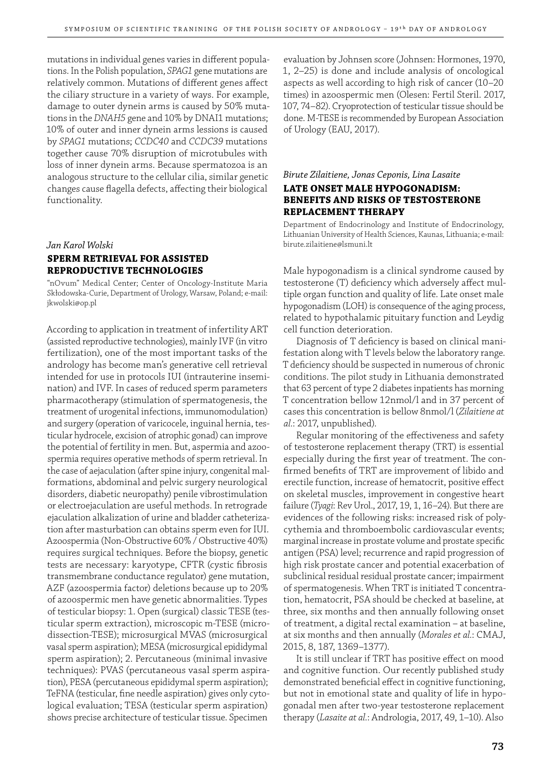mutations in individual genes varies in different populations. In the Polish population, *SPAG1* gene mutations are relatively common. Mutations of different genes affect the ciliary structure in a variety of ways. For example, damage to outer dynein arms is caused by 50% mutations in the *DNAH5* gene and 10% by DNAI1 mutations; 10% of outer and inner dynein arms lessions is caused by *SPAG1* mutations; *CCDC40* and *CCDC39* mutations together cause 70% disruption of microtubules with loss of inner dynein arms. Because spermatozoa is an analogous structure to the cellular cilia, similar genetic changes cause flagella defects, affecting their biological functionality.

# *Jan Karol Wolski* **SPERM RETRIEVAL FOR ASSISTED REPRODUCTIVE TECHNOLOGIES**

"nOvum" Medical Center; Center of Oncology-Institute Maria Skłodowska-Curie, Department of Urology, Warsaw, Poland; e-mail: jkwolski@op.pl

According to application in treatment of infertility ART (assisted reproductive technologies), mainly IVF (in vitro fertilization), one of the most important tasks of the andrology has become man's generative cell retrieval intended for use in protocols IUI (intrauterine insemination) and IVF. In cases of reduced sperm parameters pharmacotherapy (stimulation of spermatogenesis, the treatment of urogenital infections, immunomodulation) and surgery (operation of varicocele, inguinal hernia, testicular hydrocele, excision of atrophic gonad) can improve the potential of fertility in men. But, aspermia and azoospermia requires operative methods of sperm retrieval. In the case of aejaculation (after spine injury, congenital malformations, abdominal and pelvic surgery neurological disorders, diabetic neuropathy) penile vibrostimulation or electroejaculation are useful methods. In retrograde ejaculation alkalization of urine and bladder catheterization after masturbation can obtains sperm even for IUI. Azoospermia (Non-Obstructive 60% / Obstructive 40%) requires surgical techniques. Before the biopsy, genetic tests are necessary: karyotype, CFTR (cystic fibrosis transmembrane conductance regulator) gene mutation, AZF (azoospermia factor) deletions because up to 20% of azoospermic men have genetic abnormalities. Types of testicular biopsy: 1. Open (surgical) classic TESE (testicular sperm extraction), microscopic m-TESE (microdissection-TESE); microsurgical MVAS (microsurgical vasal sperm aspiration); MESA (microsurgical epididymal sperm aspiration); 2. Percutaneous (minimal invasive techniques): PVAS (percutaneous vasal sperm aspiration), PESA (percutaneous epididymal sperm aspiration); TeFNA (testicular, fine needle aspiration) gives only cytological evaluation; TESA (testicular sperm aspiration) shows precise architecture of testicular tissue. Specimen

evaluation by Johnsen score (Johnsen: Hormones, 1970, 1, 2–25) is done and include analysis of oncological aspects as well according to high risk of cancer (10–20 times) in azoospermic men (Olesen: Fertil Steril. 2017, 107, 74–82). Cryoprotection of testicular tissue should be done. M-TESE is recommended by European Association of Urology (EAU, 2017).

# *Birute Zilaitiene, Jonas Ceponis, Lina Lasaite*  **LATE ONSET MALE HYPOGONADISM: BENEFITS AND RISKS OF TESTOSTERONE REPLACEMENT THERAPY**

Department of Endocrinology and Institute of Endocrinology, Lithuanian University of Health Sciences, Kaunas, Lithuania; e-mail: birute.zilaitiene@lsmuni.lt

Male hypogonadism is a clinical syndrome caused by testosterone (T) deficiency which adversely affect multiple organ function and quality of life. Late onset male hypogonadism (LOH) is consequence of the aging process, related to hypothalamic pituitary function and Leydig cell function deterioration.

Diagnosis of T deficiency is based on clinical manifestation along with T levels below the laboratory range. T deficiency should be suspected in numerous of chronic conditions. The pilot study in Lithuania demonstrated that 63 percent of type 2 diabetes inpatients has morning T concentration bellow 12nmol/l and in 37 percent of cases this concentration is bellow 8nmol/l (*Zilaitiene at al.*: 2017, unpublished).

Regular monitoring of the effectiveness and safety of testosterone replacement therapy (TRT) is essential especially during the first year of treatment. The confirmed benefits of TRT are improvement of libido and erectile function, increase of hematocrit, positive effect on skeletal muscles, improvement in congestive heart failure (*Tyagi*: Rev Urol., 2017, 19, 1, 16–24). But there are evidences of the following risks: increased risk of polycythemia and thromboembolic cardiovascular events; marginal increase in prostate volume and prostate specific antigen (PSA) level; recurrence and rapid progression of high risk prostate cancer and potential exacerbation of subclinical residual residual prostate cancer; impairment of spermatogenesis. When TRT is initiated T concentration, hematocrit, PSA should be checked at baseline, at three, six months and then annually following onset of treatment, a digital rectal examination – at baseline, at six months and then annually (*Morales et al.*: CMAJ, 2015, 8, 187, 1369–1377).

It is still unclear if TRT has positive effect on mood and cognitive function. Our recently published study demonstrated beneficial effect in cognitive functioning, but not in emotional state and quality of life in hypogonadal men after two-year testosterone replacement therapy (*Lasaite at al.*: Andrologia, 2017, 49, 1–10). Also